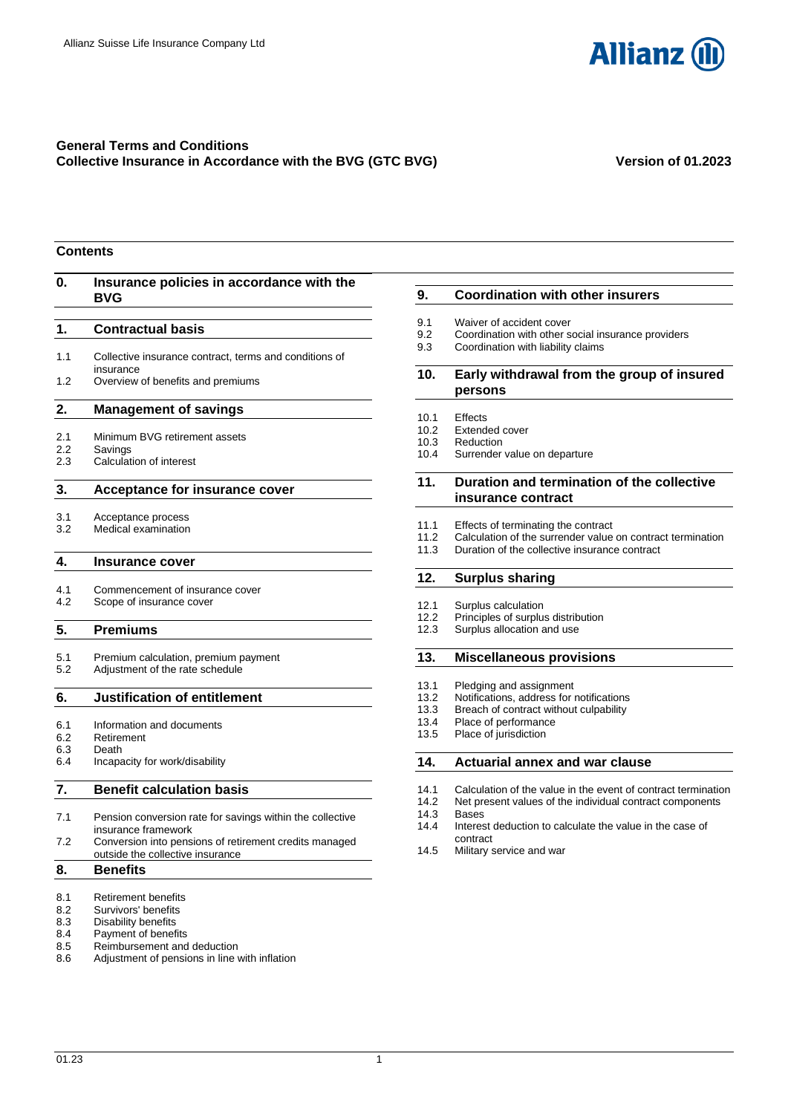

# **General Terms and Conditions Collective Insurance in Accordance with the BVG (GTC BVG) Version of 01.2023**

# **Contents**

| 0.                       | Insurance policies in accordance with the<br><b>BVG</b>                            |  |
|--------------------------|------------------------------------------------------------------------------------|--|
| 1.                       | <b>Contractual basis</b>                                                           |  |
| 1.1                      | Collective insurance contract, terms and conditions of<br>insurance                |  |
| 1.2                      | Overview of benefits and premiums                                                  |  |
| 2.                       | <b>Management of savings</b>                                                       |  |
| 2.1<br>2.2<br>2.3        | Minimum BVG retirement assets<br>Savings<br>Calculation of interest                |  |
| 3.                       | <b>Acceptance for insurance cover</b>                                              |  |
| 3.1<br>3.2               | Acceptance process<br>Medical examination                                          |  |
| 4.                       | <b>Insurance cover</b>                                                             |  |
| 4.1<br>4.2               | Commencement of insurance cover<br>Scope of insurance cover                        |  |
| 5.                       | <b>Premiums</b>                                                                    |  |
| 5.1<br>5.2               | Premium calculation, premium payment<br>Adjustment of the rate schedule            |  |
| 6.                       | Justification of entitlement                                                       |  |
| 6.1<br>6.2<br>6.3<br>6.4 | Information and documents<br>Retirement<br>Death<br>Incapacity for work/disability |  |
| 7.                       | <b>Benefit calculation basis</b>                                                   |  |
| 7.1                      | Pension conversion rate for savings within the collective<br>insurance framework   |  |
| 7.2                      | Conversion into pensions of retirement credits managed                             |  |

- [outside the collective insurance](#page-5-3)
- **8. [Benefits](#page-5-4)**
- 8.1 [Retirement benefits](#page-5-5)<br>8.2 Survivors' benefits
- 8.2 [Survivors' benefits](#page-6-0)<br>8.3 Disability benefits
- 8.3 [Disability benefits](#page-8-0)<br>8.4 Payment of benefi
- 8.4 [Payment of benefits](#page-10-0)<br>8.5 Reimbursement and
- [Reimbursement and deduction](#page-10-1)
- 8.6 [Adjustment of pensions in line with inflation](#page-10-2)

# **9. [Coordination with other insurers](#page-11-0)**

- 9.1 [Waiver of accident cover](#page-11-1)<br>9.2 Coordination with other s
- 9.2 [Coordination with other social insurance providers](#page-11-2)
- 9.3 [Coordination with liability claims](#page-12-0)

# **10. [Early withdrawal from the group of insured](#page-12-1)  [persons](#page-12-1)**

- 10.1 [Effects](#page-12-2)<br>10.2 Extend
- 10.2 [Extended cover](#page-12-3)<br>10.3 Reduction
- [Reduction](#page-12-4)
- 10.4 [Surrender value on departure](#page-12-5)

# **11. [Duration and termination of the collective](#page-12-6)  [insurance contract](#page-12-6)**

- 11.1 [Effects of terminating the contract](#page-12-7)
- 11.2 [Calculation of the surrender value on contract](#page-13-0) termination<br>11.3 Duration of the collective insurance contract
- [Duration of the collective insurance contract](#page-13-1)

# **12. [Surplus sharing](#page-13-2)**

- 
- 12.1 [Surplus calculation](#page-13-3)<br>12.2 Principles of surplus [Principles of surplus distribution](#page-13-4)
- 12.3 [Surplus allocation and use](#page-13-5)

# **13. [Miscellaneous provisions](#page-14-0)**

- 13.1 [Pledging and assignment](#page-14-1)
- 13.2 [Notifications, address for notifications](#page-14-2)<br>13.3 Breach of contract without culpability
- [Breach of contract without culpability](#page-14-3)
- 13.4 Place of [performance](#page-14-4)
- 13.5 [Place of jurisdiction](#page-14-5)

# **14. [Actuarial annex and war clause](#page-14-6)**

- 
- 14.1 [Calculation of the value in the](#page-14-7) event of contract termination<br>14.2 Net present values of the individual contract components Net present values of the individual contract components
- 14.3 [Bases](#page-14-8)
- 14.4 [Interest deduction to calculate the value in the case of](#page-14-9)  [contract](#page-14-9)
- 14.5 [Military service and war](#page-15-0)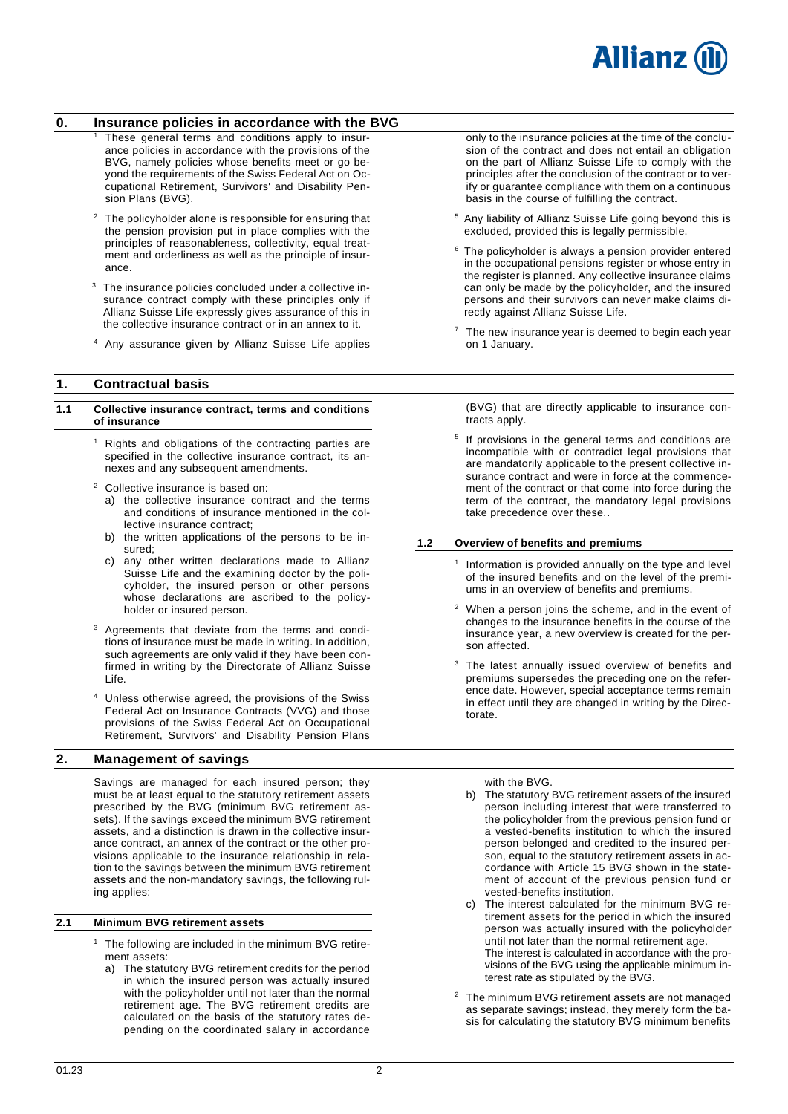

# <span id="page-1-0"></span>**0. Insurance policies in accordance with the BVG**

- These general terms and conditions apply to insurance policies in accordance with the provisions of the BVG, namely policies whose benefits meet or go beyond the requirements of the Swiss Federal Act on Occupational Retirement, Survivors' and Disability Pension Plans (BVG).
- <sup>2</sup> The policyholder alone is responsible for ensuring that the pension provision put in place complies with the principles of reasonableness, collectivity, equal treatment and orderliness as well as the principle of insurance.
- <sup>3</sup> The insurance policies concluded under a collective insurance contract comply with these principles only if Allianz Suisse Life expressly gives assurance of this in the collective insurance contract or in an annex to it.
- <sup>4</sup> Any assurance given by Allianz Suisse Life applies

# <span id="page-1-1"></span>**1. Contractual basis**

#### <span id="page-1-2"></span>**1.1 Collective insurance contract, terms and conditions of insurance**

- <sup>1</sup> Rights and obligations of the contracting parties are specified in the collective insurance contract, its annexes and any subsequent amendments.
- <sup>2</sup> Collective insurance is based on:
	- a) the collective insurance contract and the terms and conditions of insurance mentioned in the collective insurance contract;
	- b) the written applications of the persons to be insured;
	- c) any other written declarations made to Allianz Suisse Life and the examining doctor by the policyholder, the insured person or other persons whose declarations are ascribed to the policyholder or insured person.
- <sup>3</sup> Agreements that deviate from the terms and conditions of insurance must be made in writing. In addition, such agreements are only valid if they have been confirmed in writing by the Directorate of Allianz Suisse Life.
- Unless otherwise agreed, the provisions of the Swiss Federal Act on Insurance Contracts (VVG) and those provisions of the Swiss Federal Act on Occupational Retirement, Survivors' and Disability Pension Plans

# <span id="page-1-4"></span>**2. Management of savings**

Savings are managed for each insured person; they must be at least equal to the statutory retirement assets prescribed by the BVG (minimum BVG retirement assets). If the savings exceed the minimum BVG retirement assets, and a distinction is drawn in the collective insurance contract, an annex of the contract or the other provisions applicable to the insurance relationship in relation to the savings between the minimum BVG retirement assets and the non-mandatory savings, the following ruling applies:

# <span id="page-1-5"></span>**2.1 Minimum BVG retirement assets**

- $1$  The following are included in the minimum BVG retirement assets:
	- a) The statutory BVG retirement credits for the period in which the insured person was actually insured with the policyholder until not later than the normal retirement age. The BVG retirement credits are calculated on the basis of the statutory rates depending on the coordinated salary in accordance

only to the insurance policies at the time of the conclusion of the contract and does not entail an obligation on the part of Allianz Suisse Life to comply with the principles after the conclusion of the contract or to verify or guarantee compliance with them on a continuous basis in the course of fulfilling the contract.

- <sup>5</sup> Any liability of Allianz Suisse Life going beyond this is excluded, provided this is legally permissible.
- $6$  The policyholder is always a pension provider entered in the occupational pensions register or whose entry in the register is planned. Any collective insurance claims can only be made by the policyholder, and the insured persons and their survivors can never make claims directly against Allianz Suisse Life.
- $7$  The new insurance year is deemed to begin each year on 1 January.

(BVG) that are directly applicable to insurance contracts apply.

5 If provisions in the general terms and conditions are incompatible with or contradict legal provisions that are mandatorily applicable to the present collective insurance contract and were in force at the commencement of the contract or that come into force during the term of the contract, the mandatory legal provisions take precedence over these..

#### <span id="page-1-3"></span>**1.2 Overview of benefits and premiums**

- 1 Information is provided annually on the type and level of the insured benefits and on the level of the premiums in an overview of benefits and premiums.
- When a person joins the scheme, and in the event of changes to the insurance benefits in the course of the insurance year, a new overview is created for the person affected.
- The latest annually issued overview of benefits and premiums supersedes the preceding one on the reference date. However, special acceptance terms remain in effect until they are changed in writing by the Directorate.

with the BVG.

- b) The statutory BVG retirement assets of the insured person including interest that were transferred to the policyholder from the previous pension fund or a vested-benefits institution to which the insured person belonged and credited to the insured person, equal to the statutory retirement assets in accordance with Article 15 BVG shown in the statement of account of the previous pension fund or vested-benefits institution.
- c) The interest calculated for the minimum BVG retirement assets for the period in which the insured person was actually insured with the policyholder until not later than the normal retirement age. The interest is calculated in accordance with the provisions of the BVG using the applicable minimum interest rate as stipulated by the BVG.
- <sup>2</sup> The minimum BVG retirement assets are not managed as separate savings; instead, they merely form the basis for calculating the statutory BVG minimum benefits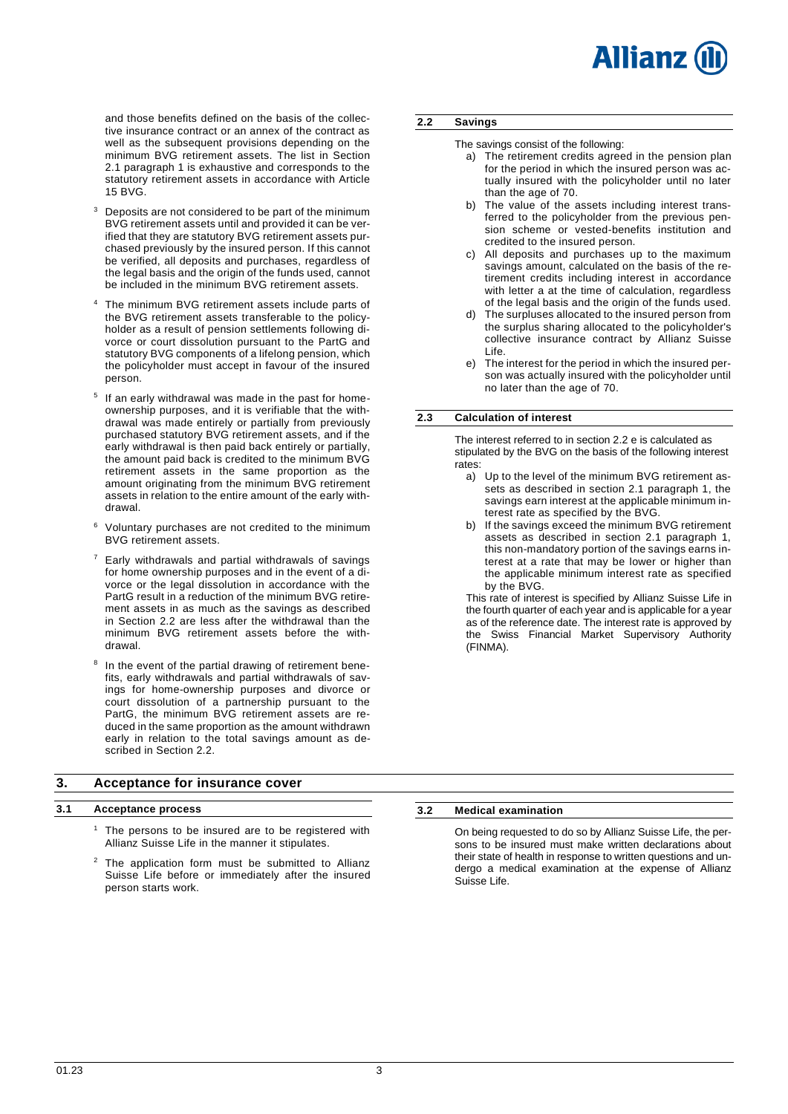and those benefits defined on the basis of the collective insurance contract or an annex of the contract as well as the subsequent provisions depending on the minimum BVG retirement assets. The list in Section 2.1 paragraph 1 is exhaustive and corresponds to the statutory retirement assets in accordance with Article 15 BVG.

- $3$  Deposits are not considered to be part of the minimum BVG retirement assets until and provided it can be verified that they are statutory BVG retirement assets purchased previously by the insured person. If this cannot be verified, all deposits and purchases, regardless of the legal basis and the origin of the funds used, cannot be included in the minimum BVG retirement assets.
- The minimum BVG retirement assets include parts of the BVG retirement assets transferable to the policyholder as a result of pension settlements following divorce or court dissolution pursuant to the PartG and statutory BVG components of a lifelong pension, which the policyholder must accept in favour of the insured person.
- <sup>5</sup> If an early withdrawal was made in the past for homeownership purposes, and it is verifiable that the withdrawal was made entirely or partially from previously purchased statutory BVG retirement assets, and if the early withdrawal is then paid back entirely or partially, the amount paid back is credited to the minimum BVG retirement assets in the same proportion as the amount originating from the minimum BVG retirement assets in relation to the entire amount of the early withdrawal.
- Voluntary purchases are not credited to the minimum BVG retirement assets.
- $7$  Early withdrawals and partial withdrawals of savings for home ownership purposes and in the event of a divorce or the legal dissolution in accordance with the PartG result in a reduction of the minimum BVG retirement assets in as much as the savings as described in Section 2.2 are less after the withdrawal than the minimum BVG retirement assets before the withdrawal.
- 8 In the event of the partial drawing of retirement benefits, early withdrawals and partial withdrawals of savings for home-ownership purposes and divorce or court dissolution of a partnership pursuant to the PartG, the minimum BVG retirement assets are reduced in the same proportion as the amount withdrawn early in relation to the total savings amount as described in Section 2.2.

# <span id="page-2-2"></span>**3. Acceptance for insurance cover**

# <span id="page-2-3"></span>**3.1 Acceptance process**

- $1$  The persons to be insured are to be registered with Allianz Suisse Life in the manner it stipulates.
- The application form must be submitted to Allianz Suisse Life before or immediately after the insured person starts work.

# <span id="page-2-0"></span>**2.2 Savings**

- The savings consist of the following:
	- a) The retirement credits agreed in the pension plan for the period in which the insured person was actually insured with the policyholder until no later than the age of 70.
	- b) The value of the assets including interest transferred to the policyholder from the previous pension scheme or vested-benefits institution and credited to the insured person.
	- c) All deposits and purchases up to the maximum savings amount, calculated on the basis of the retirement credits including interest in accordance with letter a at the time of calculation, regardless of the legal basis and the origin of the funds used.
	- d) The surpluses allocated to the insured person from the surplus sharing allocated to the policyholder's collective insurance contract by Allianz Suisse Life.
	- e) The interest for the period in which the insured person was actually insured with the policyholder until no later than the age of 70.

# <span id="page-2-1"></span>**2.3 Calculation of interest**

The interest referred to in section 2.2 e is calculated as stipulated by the BVG on the basis of the following interest rates:

- a) Up to the level of the minimum BVG retirement assets as described in section 2.1 paragraph 1, the savings earn interest at the applicable minimum interest rate as specified by the BVG.
- b) If the savings exceed the minimum BVG retirement assets as described in section 2.1 paragraph 1, this non-mandatory portion of the savings earns interest at a rate that may be lower or higher than the applicable minimum interest rate as specified by the BVG.

This rate of interest is specified by Allianz Suisse Life in the fourth quarter of each year and is applicable for a year as of the reference date. The interest rate is approved by the Swiss Financial Market Supervisory Authority (FINMA).

# <span id="page-2-4"></span>**3.2 Medical examination**

On being requested to do so by Allianz Suisse Life, the persons to be insured must make written declarations about their state of health in response to written questions and undergo a medical examination at the expense of Allianz Suisse Life.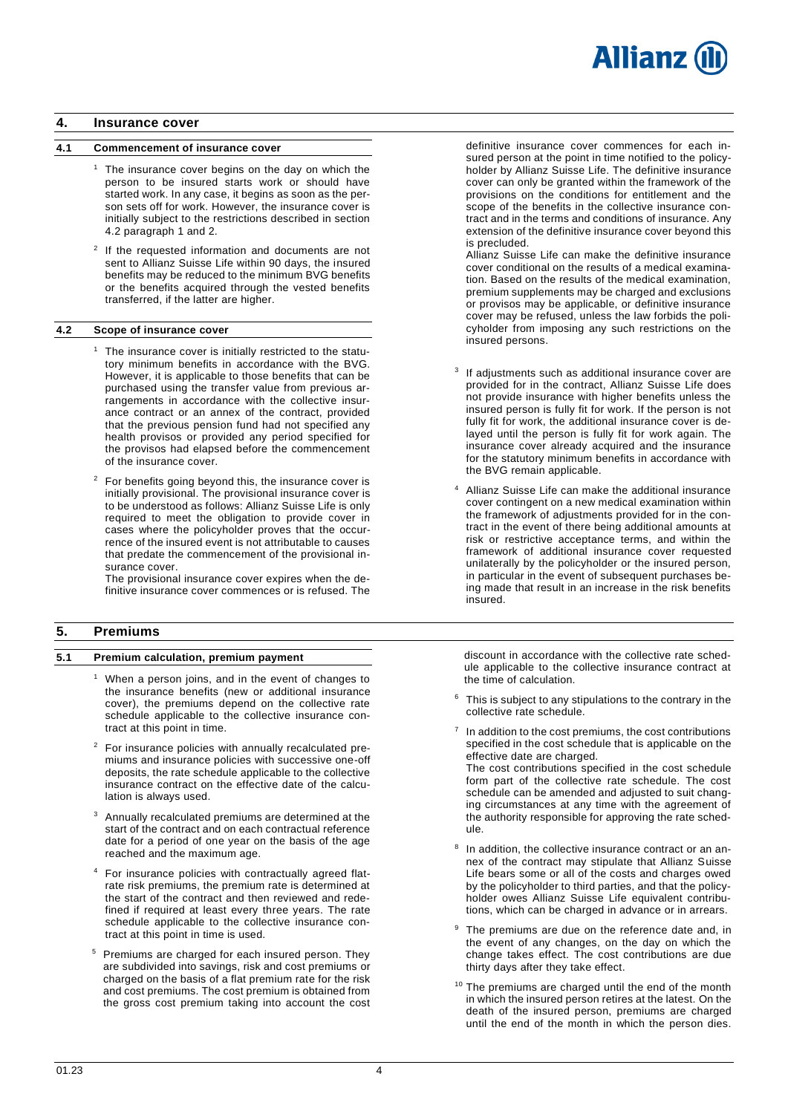

# <span id="page-3-0"></span>**4. Insurance cover**

### <span id="page-3-1"></span>**4.1 Commencement of insurance cover**

- $1$  The insurance cover begins on the day on which the person to be insured starts work or should have started work. In any case, it begins as soon as the person sets off for work. However, the insurance cover is initially subject to the restrictions described in section 4.2 paragraph 1 and 2.
- <sup>2</sup> If the requested information and documents are not sent to Allianz Suisse Life within 90 days, the insured benefits may be reduced to the minimum BVG benefits or the benefits acquired through the vested benefits transferred, if the latter are higher.

#### <span id="page-3-2"></span>**4.2 Scope of insurance cover**

- <sup>1</sup> The insurance cover is initially restricted to the statutory minimum benefits in accordance with the BVG. However, it is applicable to those benefits that can be purchased using the transfer value from previous arrangements in accordance with the collective insurance contract or an annex of the contract, provided that the previous pension fund had not specified any health provisos or provided any period specified for the provisos had elapsed before the commencement of the insurance cover.
- <sup>2</sup> For benefits going beyond this, the insurance cover is initially provisional. The provisional insurance cover is to be understood as follows: Allianz Suisse Life is only required to meet the obligation to provide cover in cases where the policyholder proves that the occurrence of the insured event is not attributable to causes that predate the commencement of the provisional insurance cover.

The provisional insurance cover expires when the definitive insurance cover commences or is refused. The

# <span id="page-3-3"></span>**5. Premiums**

#### <span id="page-3-4"></span>**5.1 Premium calculation, premium payment**

- When a person joins, and in the event of changes to the insurance benefits (new or additional insurance cover), the premiums depend on the collective rate schedule applicable to the collective insurance contract at this point in time.
- <sup>2</sup> For insurance policies with annually recalculated premiums and insurance policies with successive one-off deposits, the rate schedule applicable to the collective insurance contract on the effective date of the calculation is always used.
- <sup>3</sup> Annually recalculated premiums are determined at the start of the contract and on each contractual reference date for a period of one year on the basis of the age reached and the maximum age.
- <sup>4</sup> For insurance policies with contractually agreed flatrate risk premiums, the premium rate is determined at the start of the contract and then reviewed and redefined if required at least every three years. The rate schedule applicable to the collective insurance contract at this point in time is used.
- <sup>5</sup> Premiums are charged for each insured person. They are subdivided into savings, risk and cost premiums or charged on the basis of a flat premium rate for the risk and cost premiums. The cost premium is obtained from the gross cost premium taking into account the cost

definitive insurance cover commences for each insured person at the point in time notified to the policyholder by Allianz Suisse Life. The definitive insurance cover can only be granted within the framework of the provisions on the conditions for entitlement and the scope of the benefits in the collective insurance contract and in the terms and conditions of insurance. Any extension of the definitive insurance cover beyond this is precluded.

Allianz Suisse Life can make the definitive insurance cover conditional on the results of a medical examination. Based on the results of the medical examination, premium supplements may be charged and exclusions or provisos may be applicable, or definitive insurance cover may be refused, unless the law forbids the policyholder from imposing any such restrictions on the insured persons.

- <sup>3</sup> If adjustments such as additional insurance cover are provided for in the contract, Allianz Suisse Life does not provide insurance with higher benefits unless the insured person is fully fit for work. If the person is not fully fit for work, the additional insurance cover is delayed until the person is fully fit for work again. The insurance cover already acquired and the insurance for the statutory minimum benefits in accordance with the BVG remain applicable.
- Allianz Suisse Life can make the additional insurance cover contingent on a new medical examination within the framework of adjustments provided for in the contract in the event of there being additional amounts at risk or restrictive acceptance terms, and within the framework of additional insurance cover requested unilaterally by the policyholder or the insured person, in particular in the event of subsequent purchases being made that result in an increase in the risk benefits insured.

discount in accordance with the collective rate schedule applicable to the collective insurance contract at the time of calculation.

- This is subject to any stipulations to the contrary in the collective rate schedule.
- 7 In addition to the cost premiums, the cost contributions specified in the cost schedule that is applicable on the effective date are charged. The cost contributions specified in the cost schedule form part of the collective rate schedule. The cost schedule can be amended and adjusted to suit changing circumstances at any time with the agreement of the authority responsible for approving the rate sched-
- 8 In addition, the collective insurance contract or an annex of the contract may stipulate that Allianz Suisse Life bears some or all of the costs and charges owed by the policyholder to third parties, and that the policyholder owes Allianz Suisse Life equivalent contributions, which can be charged in advance or in arrears.

ule.

- The premiums are due on the reference date and, in the event of any changes, on the day on which the change takes effect. The cost contributions are due thirty days after they take effect.
- <sup>10</sup> The premiums are charged until the end of the month in which the insured person retires at the latest. On the death of the insured person, premiums are charged until the end of the month in which the person dies.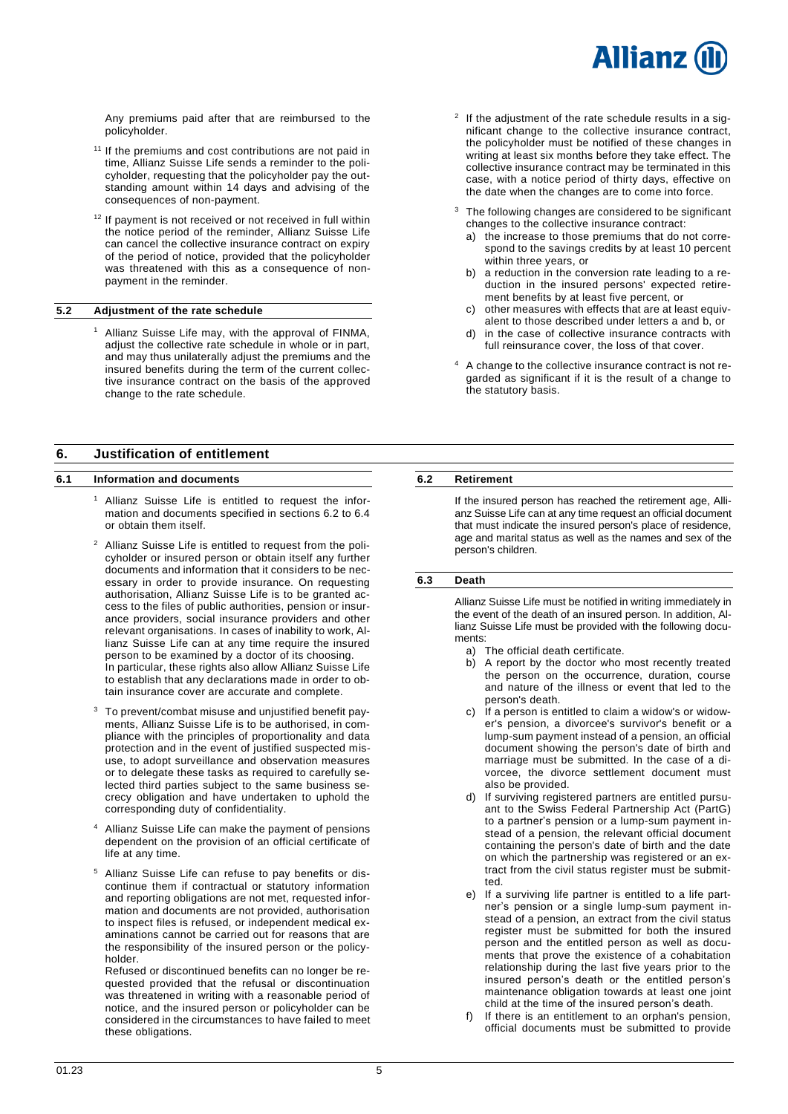# **Allianz**

Any premiums paid after that are reimbursed to the policyholder.

- <sup>11</sup> If the premiums and cost contributions are not paid in time, Allianz Suisse Life sends a reminder to the policyholder, requesting that the policyholder pay the outstanding amount within 14 days and advising of the consequences of non-payment.
- <sup>12</sup> If payment is not received or not received in full within the notice period of the reminder, Allianz Suisse Life can cancel the collective insurance contract on expiry of the period of notice, provided that the policyholder was threatened with this as a consequence of nonpayment in the reminder.

### <span id="page-4-0"></span>**5.2 Adjustment of the rate schedule**

<sup>1</sup> Allianz Suisse Life may, with the approval of FINMA, adjust the collective rate schedule in whole or in part, and may thus unilaterally adjust the premiums and the insured benefits during the term of the current collective insurance contract on the basis of the approved change to the rate schedule.

# <span id="page-4-1"></span>**6. Justification of entitlement**

#### <span id="page-4-2"></span>**6.1 Information and documents**

- <sup>1</sup> Allianz Suisse Life is entitled to request the information and documents specified in sections 6.2 to 6.4 or obtain them itself.
- <sup>2</sup> Allianz Suisse Life is entitled to request from the policyholder or insured person or obtain itself any further documents and information that it considers to be necessary in order to provide insurance. On requesting authorisation, Allianz Suisse Life is to be granted access to the files of public authorities, pension or insurance providers, social insurance providers and other relevant organisations. In cases of inability to work, Allianz Suisse Life can at any time require the insured person to be examined by a doctor of its choosing. In particular, these rights also allow Allianz Suisse Life to establish that any declarations made in order to obtain insurance cover are accurate and complete.
- <sup>3</sup> To prevent/combat misuse and unjustified benefit payments, Allianz Suisse Life is to be authorised, in compliance with the principles of proportionality and data protection and in the event of justified suspected misuse, to adopt surveillance and observation measures or to delegate these tasks as required to carefully selected third parties subject to the same business secrecy obligation and have undertaken to uphold the corresponding duty of confidentiality.
- Allianz Suisse Life can make the payment of pensions dependent on the provision of an official certificate of life at any time.
- Allianz Suisse Life can refuse to pay benefits or discontinue them if contractual or statutory information and reporting obligations are not met, requested information and documents are not provided, authorisation to inspect files is refused, or independent medical examinations cannot be carried out for reasons that are the responsibility of the insured person or the policyholder.

Refused or discontinued benefits can no longer be requested provided that the refusal or discontinuation was threatened in writing with a reasonable period of notice, and the insured person or policyholder can be considered in the circumstances to have failed to meet these obligations.

- $2$  If the adjustment of the rate schedule results in a significant change to the collective insurance contract, the policyholder must be notified of these changes in writing at least six months before they take effect. The collective insurance contract may be terminated in this case, with a notice period of thirty days, effective on the date when the changes are to come into force.
- <sup>3</sup> The following changes are considered to be significant changes to the collective insurance contract:
	- a) the increase to those premiums that do not correspond to the savings credits by at least 10 percent within three years, or
	- b) a reduction in the conversion rate leading to a reduction in the insured persons' expected retirement benefits by at least five percent, or
	- c) other measures with effects that are at least equivalent to those described under letters a and b, or
	- d) in the case of collective insurance contracts with full reinsurance cover, the loss of that cover.
- <sup>4</sup> A change to the collective insurance contract is not regarded as significant if it is the result of a change to the statutory basis.

# <span id="page-4-3"></span>**6.2 Retirement**

If the insured person has reached the retirement age, Allianz Suisse Life can at any time request an official document that must indicate the insured person's place of residence, age and marital status as well as the names and sex of the person's children.

# <span id="page-4-4"></span>**6.3 Death**

Allianz Suisse Life must be notified in writing immediately in the event of the death of an insured person. In addition, Allianz Suisse Life must be provided with the following documents:

- a) The official death certificate.
- b) A report by the doctor who most recently treated the person on the occurrence, duration, course and nature of the illness or event that led to the person's death.
- c) If a person is entitled to claim a widow's or widower's pension, a divorcee's survivor's benefit or a lump-sum payment instead of a pension, an official document showing the person's date of birth and marriage must be submitted. In the case of a divorcee, the divorce settlement document must also be provided.
- d) If surviving registered partners are entitled pursuant to the Swiss Federal Partnership Act (PartG) to a partner's pension or a lump-sum payment instead of a pension, the relevant official document containing the person's date of birth and the date on which the partnership was registered or an extract from the civil status register must be submitted.
- e) If a surviving life partner is entitled to a life partner's pension or a single lump-sum payment instead of a pension, an extract from the civil status register must be submitted for both the insured person and the entitled person as well as documents that prove the existence of a cohabitation relationship during the last five years prior to the insured person's death or the entitled person's maintenance obligation towards at least one joint child at the time of the insured person's death.
- f) If there is an entitlement to an orphan's pension, official documents must be submitted to provide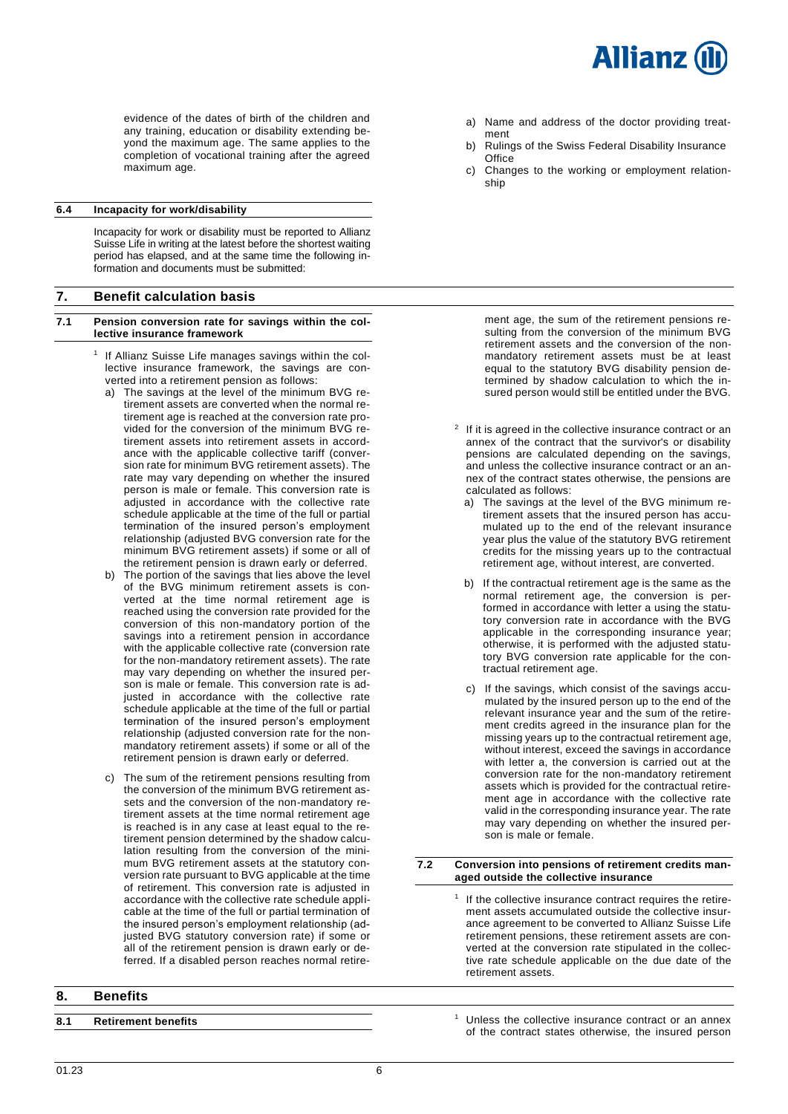

evidence of the dates of birth of the children and any training, education or disability extending beyond the maximum age. The same applies to the completion of vocational training after the agreed maximum age.

### <span id="page-5-0"></span>**6.4 Incapacity for work/disability**

Incapacity for work or disability must be reported to Allianz Suisse Life in writing at the latest before the shortest waiting period has elapsed, and at the same time the following information and documents must be submitted:

# <span id="page-5-1"></span>**7. Benefit calculation basis**

- <span id="page-5-2"></span>**7.1 Pension conversion rate for savings within the collective insurance framework**
	- 1 If Allianz Suisse Life manages savings within the collective insurance framework, the savings are converted into a retirement pension as follows:
		- a) The savings at the level of the minimum BVG retirement assets are converted when the normal retirement age is reached at the conversion rate provided for the conversion of the minimum BVG retirement assets into retirement assets in accordance with the applicable collective tariff (conversion rate for minimum BVG retirement assets). The rate may vary depending on whether the insured person is male or female. This conversion rate is adjusted in accordance with the collective rate schedule applicable at the time of the full or partial termination of the insured person's employment relationship (adjusted BVG conversion rate for the minimum BVG retirement assets) if some or all of the retirement pension is drawn early or deferred.
		- b) The portion of the savings that lies above the level of the BVG minimum retirement assets is converted at the time normal retirement age is reached using the conversion rate provided for the conversion of this non-mandatory portion of the savings into a retirement pension in accordance with the applicable collective rate (conversion rate for the non-mandatory retirement assets). The rate may vary depending on whether the insured person is male or female. This conversion rate is adjusted in accordance with the collective rate schedule applicable at the time of the full or partial termination of the insured person's employment relationship (adjusted conversion rate for the nonmandatory retirement assets) if some or all of the retirement pension is drawn early or deferred.
		- c) The sum of the retirement pensions resulting from the conversion of the minimum BVG retirement assets and the conversion of the non-mandatory retirement assets at the time normal retirement age is reached is in any case at least equal to the retirement pension determined by the shadow calculation resulting from the conversion of the minimum BVG retirement assets at the statutory conversion rate pursuant to BVG applicable at the time of retirement. This conversion rate is adjusted in accordance with the collective rate schedule applicable at the time of the full or partial termination of the insured person's employment relationship (adjusted BVG statutory conversion rate) if some or all of the retirement pension is drawn early or deferred. If a disabled person reaches normal retire-

# <span id="page-5-4"></span>**8. Benefits**

- a) Name and address of the doctor providing treatment
- b) Rulings of the Swiss Federal Disability Insurance **Office**
- c) Changes to the working or employment relationship

ment age, the sum of the retirement pensions resulting from the conversion of the minimum BVG retirement assets and the conversion of the nonmandatory retirement assets must be at least equal to the statutory BVG disability pension determined by shadow calculation to which the insured person would still be entitled under the BVG.

- $2$  If it is agreed in the collective insurance contract or an annex of the contract that the survivor's or disability pensions are calculated depending on the savings, and unless the collective insurance contract or an annex of the contract states otherwise, the pensions are calculated as follows:
	- a) The savings at the level of the BVG minimum retirement assets that the insured person has accumulated up to the end of the relevant insurance year plus the value of the statutory BVG retirement credits for the missing years up to the contractual retirement age, without interest, are converted.
	- b) If the contractual retirement age is the same as the normal retirement age, the conversion is performed in accordance with letter a using the statutory conversion rate in accordance with the BVG applicable in the corresponding insurance year; otherwise, it is performed with the adjusted statutory BVG conversion rate applicable for the contractual retirement age.
	- c) If the savings, which consist of the savings accumulated by the insured person up to the end of the relevant insurance year and the sum of the retirement credits agreed in the insurance plan for the missing years up to the contractual retirement age, without interest, exceed the savings in accordance with letter a, the conversion is carried out at the conversion rate for the non-mandatory retirement assets which is provided for the contractual retirement age in accordance with the collective rate valid in the corresponding insurance year. The rate may vary depending on whether the insured person is male or female.

#### <span id="page-5-3"></span>**7.2 Conversion into pensions of retirement credits managed outside the collective insurance**

- 1 If the collective insurance contract requires the retirement assets accumulated outside the collective insurance agreement to be converted to Allianz Suisse Life retirement pensions, these retirement assets are converted at the conversion rate stipulated in the collective rate schedule applicable on the due date of the retirement assets.
- <span id="page-5-5"></span>**8.1 Retirement benefits** 1 **Retirement benefits** 1 Unless the collective insurance contract or an annex of the contract states otherwise, the insured person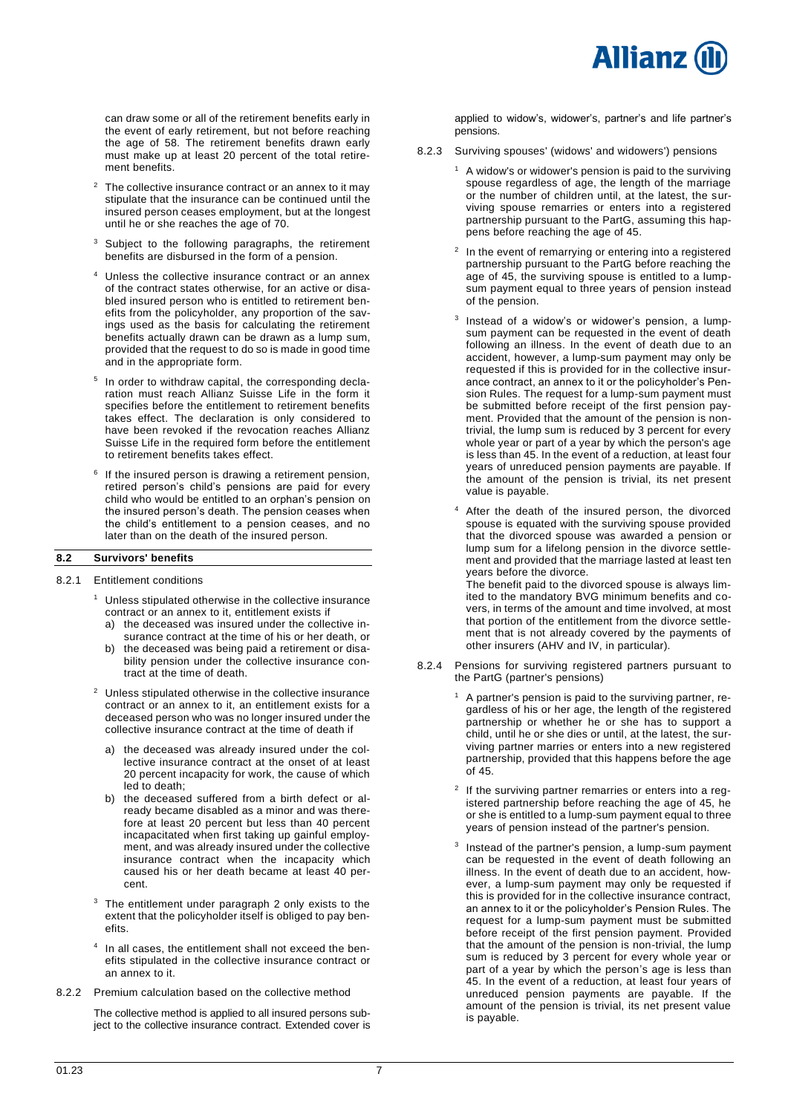

can draw some or all of the retirement benefits early in the event of early retirement, but not before reaching the age of 58. The retirement benefits drawn early must make up at least 20 percent of the total retirement benefits.

- $2$  The collective insurance contract or an annex to it may stipulate that the insurance can be continued until the insured person ceases employment, but at the longest until he or she reaches the age of 70.
- <sup>3</sup> Subject to the following paragraphs, the retirement benefits are disbursed in the form of a pension.
- Unless the collective insurance contract or an annex of the contract states otherwise, for an active or disabled insured person who is entitled to retirement benefits from the policyholder, any proportion of the savings used as the basis for calculating the retirement benefits actually drawn can be drawn as a lump sum, provided that the request to do so is made in good time and in the appropriate form.
- <sup>5</sup> In order to withdraw capital, the corresponding declaration must reach Allianz Suisse Life in the form it specifies before the entitlement to retirement benefits takes effect. The declaration is only considered to have been revoked if the revocation reaches Allianz Suisse Life in the required form before the entitlement to retirement benefits takes effect.
- 6 If the insured person is drawing a retirement pension, retired person's child's pensions are paid for every child who would be entitled to an orphan's pension on the insured person's death. The pension ceases when the child's entitlement to a pension ceases, and no later than on the death of the insured person.

# <span id="page-6-0"></span>**8.2 Survivors' benefits**

#### 8.2.1 Entitlement conditions

- <sup>1</sup> Unless stipulated otherwise in the collective insurance contract or an annex to it, entitlement exists if
	- a) the deceased was insured under the collective insurance contract at the time of his or her death, or
	- b) the deceased was being paid a retirement or disability pension under the collective insurance contract at the time of death.
- <sup>2</sup> Unless stipulated otherwise in the collective insurance contract or an annex to it, an entitlement exists for a deceased person who was no longer insured under the collective insurance contract at the time of death if
	- a) the deceased was already insured under the collective insurance contract at the onset of at least 20 percent incapacity for work, the cause of which led to death;
	- b) the deceased suffered from a birth defect or already became disabled as a minor and was therefore at least 20 percent but less than 40 percent incapacitated when first taking up gainful employment, and was already insured under the collective insurance contract when the incapacity which caused his or her death became at least 40 percent.
- <sup>3</sup> The entitlement under paragraph 2 only exists to the extent that the policyholder itself is obliged to pay benefits.
- 4 In all cases, the entitlement shall not exceed the benefits stipulated in the collective insurance contract or an annex to it.
- 8.2.2 Premium calculation based on the collective method

The collective method is applied to all insured persons subject to the collective insurance contract. Extended cover is applied to widow's, widower's, partner's and life partner's pensions.

- 8.2.3 Surviving spouses' (widows' and widowers') pensions
	- <sup>1</sup> A widow's or widower's pension is paid to the surviving spouse regardless of age, the length of the marriage or the number of children until, at the latest, the surviving spouse remarries or enters into a registered partnership pursuant to the PartG, assuming this happens before reaching the age of 45.
	- 2 In the event of remarrying or entering into a registered partnership pursuant to the PartG before reaching the age of 45, the surviving spouse is entitled to a lumpsum payment equal to three years of pension instead of the pension.
	- 3 Instead of a widow's or widower's pension, a lumpsum payment can be requested in the event of death following an illness. In the event of death due to an accident, however, a lump-sum payment may only be requested if this is provided for in the collective insurance contract, an annex to it or the policyholder's Pension Rules. The request for a lump-sum payment must be submitted before receipt of the first pension payment. Provided that the amount of the pension is nontrivial, the lump sum is reduced by 3 percent for every whole year or part of a year by which the person's age is less than 45. In the event of a reduction, at least four years of unreduced pension payments are payable. If the amount of the pension is trivial, its net present value is payable.
	- <sup>4</sup> After the death of the insured person, the divorced spouse is equated with the surviving spouse provided that the divorced spouse was awarded a pension or lump sum for a lifelong pension in the divorce settlement and provided that the marriage lasted at least ten years before the divorce.

The benefit paid to the divorced spouse is always limited to the mandatory BVG minimum benefits and covers, in terms of the amount and time involved, at most that portion of the entitlement from the divorce settlement that is not already covered by the payments of other insurers (AHV and IV, in particular).

- 8.2.4 Pensions for surviving registered partners pursuant to the PartG (partner's pensions)
	- <sup>1</sup> A partner's pension is paid to the surviving partner, regardless of his or her age, the length of the registered partnership or whether he or she has to support a child, until he or she dies or until, at the latest, the surviving partner marries or enters into a new registered partnership, provided that this happens before the age of 45.
	- 2 If the surviving partner remarries or enters into a registered partnership before reaching the age of 45, he or she is entitled to a lump-sum payment equal to three years of pension instead of the partner's pension.
	- 3 Instead of the partner's pension, a lump-sum payment can be requested in the event of death following an illness. In the event of death due to an accident, however, a lump-sum payment may only be requested if this is provided for in the collective insurance contract, an annex to it or the policyholder's Pension Rules. The request for a lump-sum payment must be submitted before receipt of the first pension payment. Provided that the amount of the pension is non-trivial, the lump sum is reduced by 3 percent for every whole year or part of a year by which the person's age is less than 45. In the event of a reduction, at least four years of unreduced pension payments are payable. If the amount of the pension is trivial, its net present value is payable.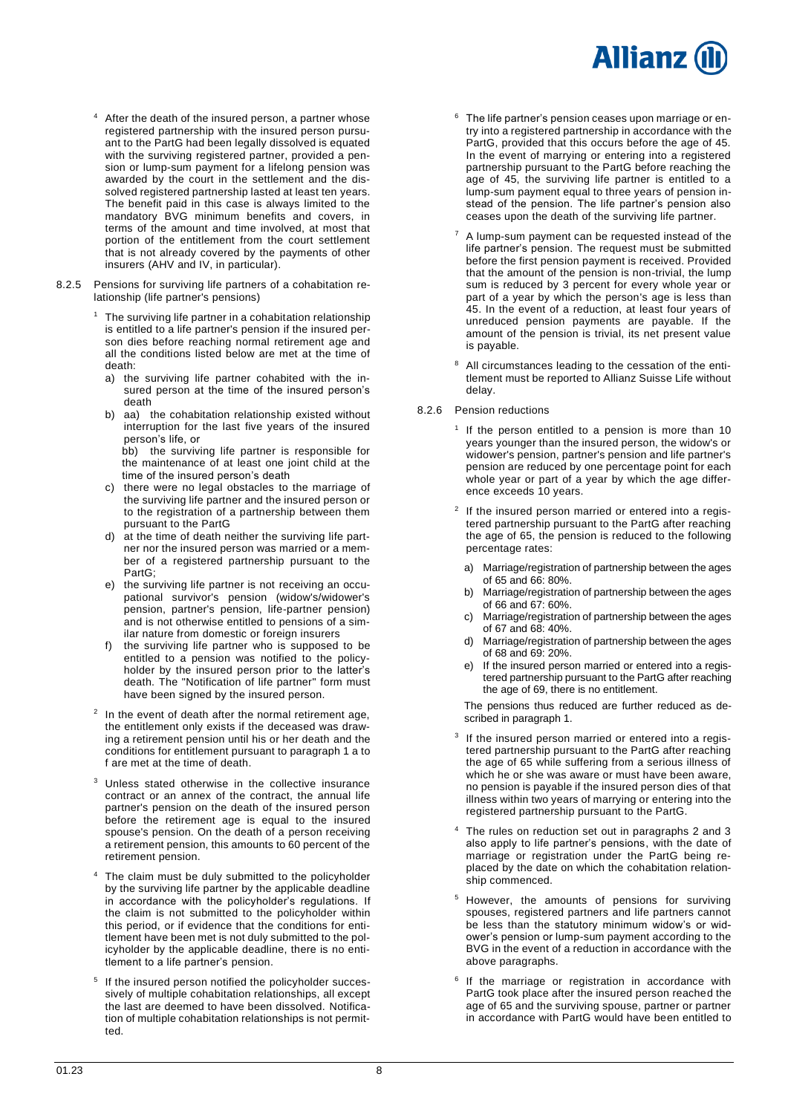# **Allianz**

- After the death of the insured person, a partner whose registered partnership with the insured person pursuant to the PartG had been legally dissolved is equated with the surviving registered partner, provided a pension or lump-sum payment for a lifelong pension was awarded by the court in the settlement and the dissolved registered partnership lasted at least ten years. The benefit paid in this case is always limited to the mandatory BVG minimum benefits and covers, in terms of the amount and time involved, at most that portion of the entitlement from the court settlement that is not already covered by the payments of other insurers (AHV and IV, in particular).
- 8.2.5 Pensions for surviving life partners of a cohabitation relationship (life partner's pensions)
	- $1$  The surviving life partner in a cohabitation relationship is entitled to a life partner's pension if the insured person dies before reaching normal retirement age and all the conditions listed below are met at the time of death:
		- a) the surviving life partner cohabited with the insured person at the time of the insured person's death
		- b) aa) the cohabitation relationship existed without interruption for the last five years of the insured person's life, or

bb) the surviving life partner is responsible for the maintenance of at least one joint child at the time of the insured person's death

- c) there were no legal obstacles to the marriage of the surviving life partner and the insured person or to the registration of a partnership between them pursuant to the PartG
- d) at the time of death neither the surviving life partner nor the insured person was married or a member of a registered partnership pursuant to the PartG;
- e) the surviving life partner is not receiving an occupational survivor's pension (widow's/widower's pension, partner's pension, life-partner pension) and is not otherwise entitled to pensions of a similar nature from domestic or foreign insurers
- the surviving life partner who is supposed to be entitled to a pension was notified to the policyholder by the insured person prior to the latter's death. The "Notification of life partner" form must have been signed by the insured person.
- $2$  In the event of death after the normal retirement age, the entitlement only exists if the deceased was drawing a retirement pension until his or her death and the conditions for entitlement pursuant to paragraph 1 a to f are met at the time of death.
- <sup>3</sup> Unless stated otherwise in the collective insurance contract or an annex of the contract, the annual life partner's pension on the death of the insured person before the retirement age is equal to the insured spouse's pension. On the death of a person receiving a retirement pension, this amounts to 60 percent of the retirement pension.
- The claim must be duly submitted to the policyholder by the surviving life partner by the applicable deadline in accordance with the policyholder's regulations. If the claim is not submitted to the policyholder within this period, or if evidence that the conditions for entitlement have been met is not duly submitted to the policyholder by the applicable deadline, there is no entitlement to a life partner's pension.
- 5 If the insured person notified the policyholder successively of multiple cohabitation relationships, all except the last are deemed to have been dissolved. Notification of multiple cohabitation relationships is not permitted.
- <sup>6</sup> The life partner's pension ceases upon marriage or entry into a registered partnership in accordance with the PartG, provided that this occurs before the age of 45. In the event of marrying or entering into a registered partnership pursuant to the PartG before reaching the age of 45, the surviving life partner is entitled to a lump-sum payment equal to three years of pension instead of the pension. The life partner's pension also ceases upon the death of the surviving life partner.
- A lump-sum payment can be requested instead of the life partner's pension. The request must be submitted before the first pension payment is received. Provided that the amount of the pension is non-trivial, the lump sum is reduced by 3 percent for every whole year or part of a year by which the person's age is less than 45. In the event of a reduction, at least four years of unreduced pension payments are payable. If the amount of the pension is trivial, its net present value is payable.
- All circumstances leading to the cessation of the entitlement must be reported to Allianz Suisse Life without delay.
- 8.2.6 Pension reductions
	- <sup>1</sup> If the person entitled to a pension is more than 10 years younger than the insured person, the widow's or widower's pension, partner's pension and life partner's pension are reduced by one percentage point for each whole year or part of a year by which the age difference exceeds 10 years.
	- <sup>2</sup> If the insured person married or entered into a registered partnership pursuant to the PartG after reaching the age of 65, the pension is reduced to the following percentage rates:
		- a) Marriage/registration of partnership between the ages of 65 and 66: 80%.
		- b) Marriage/registration of partnership between the ages of 66 and 67: 60%.
	- c) Marriage/registration of partnership between the ages of 67 and 68: 40%.
	- d) Marriage/registration of partnership between the ages of 68 and 69: 20%.
	- e) If the insured person married or entered into a registered partnership pursuant to the PartG after reaching the age of 69, there is no entitlement.

The pensions thus reduced are further reduced as described in paragraph 1.

- 3 If the insured person married or entered into a registered partnership pursuant to the PartG after reaching the age of 65 while suffering from a serious illness of which he or she was aware or must have been aware, no pension is payable if the insured person dies of that illness within two years of marrying or entering into the registered partnership pursuant to the PartG.
- The rules on reduction set out in paragraphs 2 and 3 also apply to life partner's pensions, with the date of marriage or registration under the PartG being replaced by the date on which the cohabitation relationship commenced.
- However, the amounts of pensions for surviving spouses, registered partners and life partners cannot be less than the statutory minimum widow's or widower's pension or lump-sum payment according to the BVG in the event of a reduction in accordance with the above paragraphs.
- 6 If the marriage or registration in accordance with PartG took place after the insured person reached the age of 65 and the surviving spouse, partner or partner in accordance with PartG would have been entitled to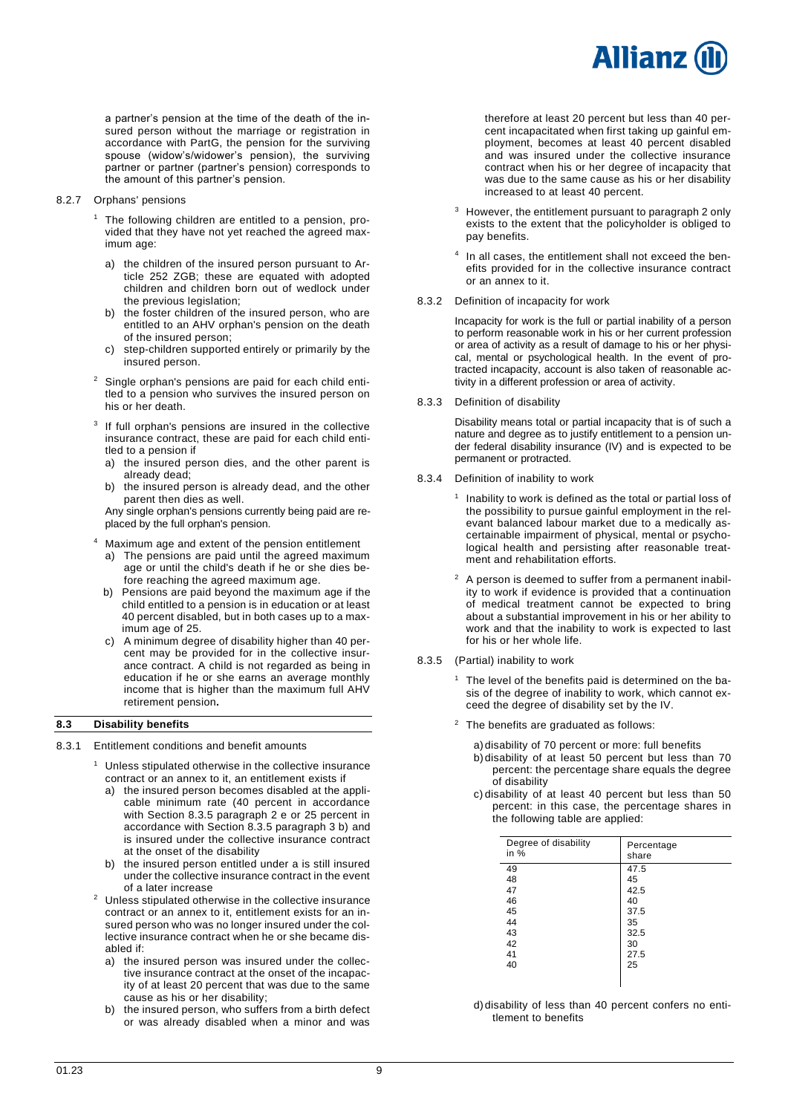

a partner's pension at the time of the death of the insured person without the marriage or registration in accordance with PartG, the pension for the surviving spouse (widow's/widower's pension), the surviving partner or partner (partner's pension) corresponds to the amount of this partner's pension.

- 8.2.7 Orphans' pensions
	- <sup>1</sup> The following children are entitled to a pension, provided that they have not yet reached the agreed maximum age:
		- a) the children of the insured person pursuant to Article 252 ZGB; these are equated with adopted children and children born out of wedlock under the previous legislation;
		- b) the foster children of the insured person, who are entitled to an AHV orphan's pension on the death of the insured person;
		- c) step-children supported entirely or primarily by the insured person.
	- <sup>2</sup> Single orphan's pensions are paid for each child entitled to a pension who survives the insured person on his or her death.
	- <sup>3</sup> If full orphan's pensions are insured in the collective insurance contract, these are paid for each child entitled to a pension if
		- a) the insured person dies, and the other parent is already dead;
		- b) the insured person is already dead, and the other parent then dies as well.

Any single orphan's pensions currently being paid are replaced by the full orphan's pension.

- <sup>4</sup> Maximum age and extent of the pension entitlement
	- a) The pensions are paid until the agreed maximum age or until the child's death if he or she dies before reaching the agreed maximum age.
	- b) Pensions are paid beyond the maximum age if the child entitled to a pension is in education or at least 40 percent disabled, but in both cases up to a maximum age of 25.
	- c) A minimum degree of disability higher than 40 percent may be provided for in the collective insurance contract. A child is not regarded as being in education if he or she earns an average monthly income that is higher than the maximum full AHV retirement pension**.**

# <span id="page-8-0"></span>**8.3 Disability benefits**

# 8.3.1 Entitlement conditions and benefit amounts

- $1$  Unless stipulated otherwise in the collective insurance contract or an annex to it, an entitlement exists if
	- a) the insured person becomes disabled at the applicable minimum rate (40 percent in accordance with Section 8.3.5 paragraph 2 e or 25 percent in accordance with Section 8.3.5 paragraph 3 b) and is insured under the collective insurance contract at the onset of the disability
	- b) the insured person entitled under a is still insured under the collective insurance contract in the event of a later increase
- <sup>2</sup> Unless stipulated otherwise in the collective insurance contract or an annex to it, entitlement exists for an insured person who was no longer insured under the collective insurance contract when he or she became disabled if:
	- a) the insured person was insured under the collective insurance contract at the onset of the incapacity of at least 20 percent that was due to the same cause as his or her disability;
	- b) the insured person, who suffers from a birth defect or was already disabled when a minor and was

therefore at least 20 percent but less than 40 percent incapacitated when first taking up gainful employment, becomes at least 40 percent disabled and was insured under the collective insurance contract when his or her degree of incapacity that was due to the same cause as his or her disability increased to at least 40 percent.

- <sup>3</sup> However, the entitlement pursuant to paragraph 2 only exists to the extent that the policyholder is obliged to pay benefits.
- 4 In all cases, the entitlement shall not exceed the benefits provided for in the collective insurance contract or an annex to it.
- 8.3.2 Definition of incapacity for work

Incapacity for work is the full or partial inability of a person to perform reasonable work in his or her current profession or area of activity as a result of damage to his or her physical, mental or psychological health. In the event of protracted incapacity, account is also taken of reasonable activity in a different profession or area of activity.

8.3.3 Definition of disability

Disability means total or partial incapacity that is of such a nature and degree as to justify entitlement to a pension under federal disability insurance (IV) and is expected to be permanent or protracted.

8.3.4 Definition of inability to work

<sup>1</sup> Inability to work is defined as the total or partial loss of the possibility to pursue gainful employment in the relevant balanced labour market due to a medically ascertainable impairment of physical, mental or psychological health and persisting after reasonable treatment and rehabilitation efforts.

- <sup>2</sup> A person is deemed to suffer from a permanent inability to work if evidence is provided that a continuation of medical treatment cannot be expected to bring about a substantial improvement in his or her ability to work and that the inability to work is expected to last for his or her whole life.
- 8.3.5 (Partial) inability to work

<sup>1</sup> The level of the benefits paid is determined on the basis of the degree of inability to work, which cannot exceed the degree of disability set by the IV.

 $2$  The benefits are graduated as follows:

a) disability of 70 percent or more: full benefits

- b) disability of at least 50 percent but less than 70 percent: the percentage share equals the degree of disability
- c) disability of at least 40 percent but less than 50 percent: in this case, the percentage shares in the following table are applied:

| Degree of disability<br>in $%$ | Percentage<br>share |
|--------------------------------|---------------------|
| 49                             | 47.5                |
| 48                             | 45                  |
| 47                             | 42.5                |
| 46                             | 40                  |
| 45                             | 37.5                |
| 44                             | 35                  |
| 43                             | 32.5                |
| 42                             | 30                  |
| 41                             | 27.5                |
| 40                             | 25                  |
|                                |                     |

d) disability of less than 40 percent confers no entitlement to benefits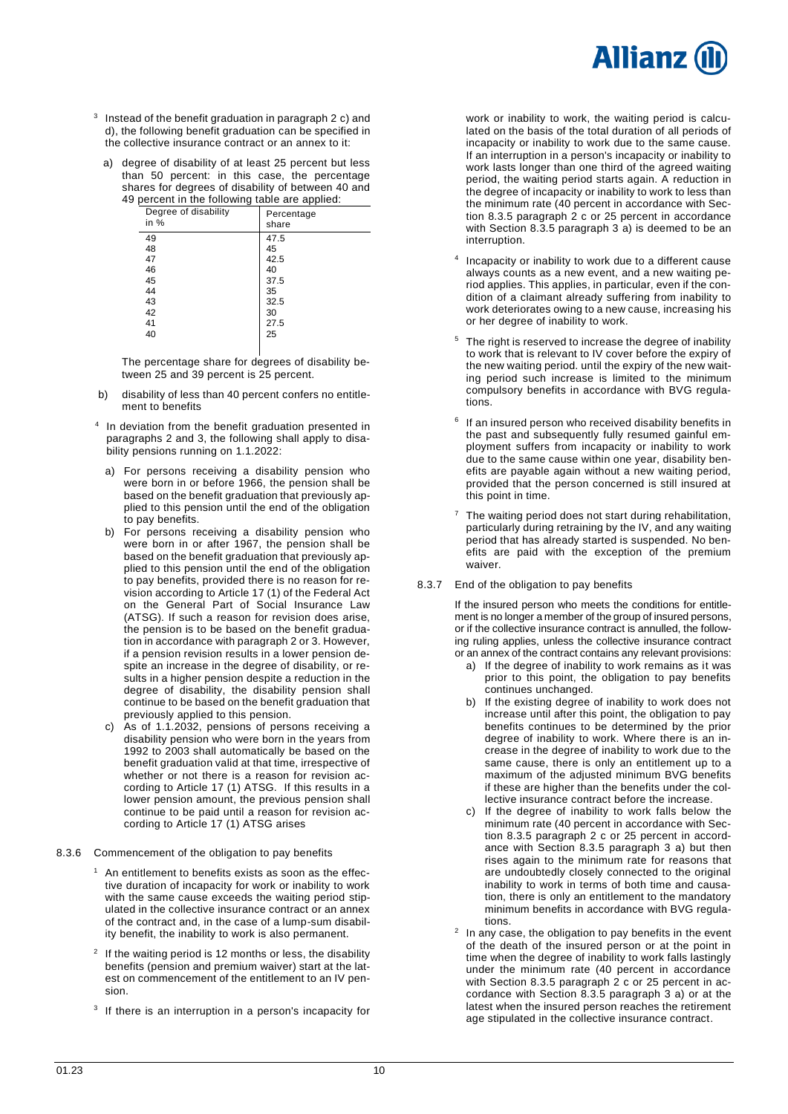

- <sup>3</sup> Instead of the benefit graduation in paragraph 2 c) and d), the following benefit graduation can be specified in the collective insurance contract or an annex to it:
	- a) degree of disability of at least 25 percent but less than 50 percent: in this case, the percentage shares for degrees of disability of between 40 and 49 percent in the following table are applied:

| percent in the rollowing table are applied. |                     |  |  |
|---------------------------------------------|---------------------|--|--|
| Degree of disability<br>in %                | Percentage<br>share |  |  |
| 49                                          | 47.5                |  |  |
| 48                                          | 45                  |  |  |
| 47                                          | 42.5                |  |  |
| 46                                          | 40                  |  |  |
| 45                                          | 37.5                |  |  |
| 44                                          | 35                  |  |  |
| 43                                          | 32.5                |  |  |
| 42                                          | 30                  |  |  |
| 41                                          | 27.5                |  |  |
| 40                                          | 25                  |  |  |
|                                             |                     |  |  |

The percentage share for degrees of disability between 25 and 39 percent is 25 percent.

- b) disability of less than 40 percent confers no entitlement to benefits
- <sup>4</sup> In deviation from the benefit graduation presented in paragraphs 2 and 3, the following shall apply to disability pensions running on 1.1.2022:
	- a) For persons receiving a disability pension who were born in or before 1966, the pension shall be based on the benefit graduation that previously applied to this pension until the end of the obligation to pay benefits.
	- b) For persons receiving a disability pension who were born in or after 1967, the pension shall be based on the benefit graduation that previously applied to this pension until the end of the obligation to pay benefits, provided there is no reason for revision according to Article 17 (1) of the Federal Act on the General Part of Social Insurance Law (ATSG). If such a reason for revision does arise, the pension is to be based on the benefit graduation in accordance with paragraph 2 or 3. However, if a pension revision results in a lower pension despite an increase in the degree of disability, or results in a higher pension despite a reduction in the degree of disability, the disability pension shall continue to be based on the benefit graduation that previously applied to this pension.
	- c) As of 1.1.2032, pensions of persons receiving a disability pension who were born in the years from 1992 to 2003 shall automatically be based on the benefit graduation valid at that time, irrespective of whether or not there is a reason for revision according to Article 17 (1) ATSG. If this results in a lower pension amount, the previous pension shall continue to be paid until a reason for revision according to Article 17 (1) ATSG arises
- 8.3.6 Commencement of the obligation to pay benefits
	- An entitlement to benefits exists as soon as the effective duration of incapacity for work or inability to work with the same cause exceeds the waiting period stipulated in the collective insurance contract or an annex of the contract and, in the case of a lump-sum disability benefit, the inability to work is also permanent.
	- $2$  If the waiting period is 12 months or less, the disability benefits (pension and premium waiver) start at the latest on commencement of the entitlement to an IV pension.
	- <sup>3</sup> If there is an interruption in a person's incapacity for

work or inability to work, the waiting period is calculated on the basis of the total duration of all periods of incapacity or inability to work due to the same cause. If an interruption in a person's incapacity or inability to work lasts longer than one third of the agreed waiting period, the waiting period starts again. A reduction in the degree of incapacity or inability to work to less than the minimum rate (40 percent in accordance with Section 8.3.5 paragraph 2 c or 25 percent in accordance with Section 8.3.5 paragraph 3 a) is deemed to be an interruption.

- 4 Incapacity or inability to work due to a different cause always counts as a new event, and a new waiting period applies. This applies, in particular, even if the condition of a claimant already suffering from inability to work deteriorates owing to a new cause, increasing his or her degree of inability to work.
- The right is reserved to increase the degree of inability to work that is relevant to IV cover before the expiry of the new waiting period. until the expiry of the new waiting period such increase is limited to the minimum compulsory benefits in accordance with BVG regulations.
- <sup>6</sup> If an insured person who received disability benefits in the past and subsequently fully resumed gainful employment suffers from incapacity or inability to work due to the same cause within one year, disability benefits are payable again without a new waiting period, provided that the person concerned is still insured at this point in time.
- The waiting period does not start during rehabilitation, particularly during retraining by the IV, and any waiting period that has already started is suspended. No benefits are paid with the exception of the premium waiver.
- 8.3.7 End of the obligation to pay benefits

If the insured person who meets the conditions for entitlement is no longer a member of the group of insured persons, or if the collective insurance contract is annulled, the following ruling applies, unless the collective insurance contract or an annex of the contract contains any relevant provisions:

- a) If the degree of inability to work remains as it was prior to this point, the obligation to pay benefits continues unchanged.
- b) If the existing degree of inability to work does not increase until after this point, the obligation to pay benefits continues to be determined by the prior degree of inability to work. Where there is an increase in the degree of inability to work due to the same cause, there is only an entitlement up to a maximum of the adjusted minimum BVG benefits if these are higher than the benefits under the collective insurance contract before the increase.
- c) If the degree of inability to work falls below the minimum rate (40 percent in accordance with Section 8.3.5 paragraph 2 c or 25 percent in accordance with Section 8.3.5 paragraph 3 a) but then rises again to the minimum rate for reasons that are undoubtedly closely connected to the original inability to work in terms of both time and causation, there is only an entitlement to the mandatory minimum benefits in accordance with BVG regulations.
- $2$  In any case, the obligation to pay benefits in the event of the death of the insured person or at the point in time when the degree of inability to work falls lastingly under the minimum rate  $(40)$  percent in accordance with Section 8.3.5 paragraph 2 c or 25 percent in accordance with Section 8.3.5 paragraph 3 a) or at the latest when the insured person reaches the retirement age stipulated in the collective insurance contract.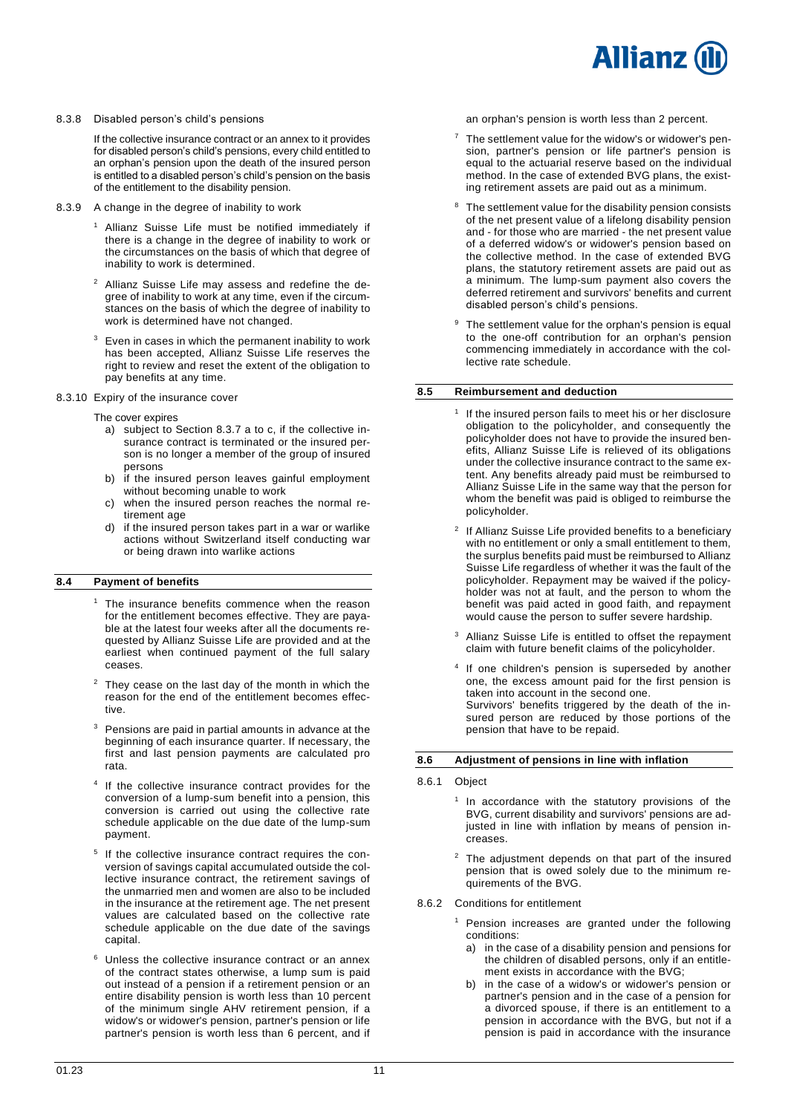

# 8.3.8 Disabled person's child's pensions

If the collective insurance contract or an annex to it provides for disabled person's child's pensions, every child entitled to an orphan's pension upon the death of the insured person is entitled to a disabled person's child's pension on the basis of the entitlement to the disability pension.

- 8.3.9 A change in the degree of inability to work
	- <sup>1</sup> Allianz Suisse Life must be notified immediately if there is a change in the degree of inability to work or the circumstances on the basis of which that degree of inability to work is determined.
	- <sup>2</sup> Allianz Suisse Life may assess and redefine the degree of inability to work at any time, even if the circumstances on the basis of which the degree of inability to work is determined have not changed.
	- Even in cases in which the permanent inability to work has been accepted, Allianz Suisse Life reserves the right to review and reset the extent of the obligation to pay benefits at any time.
- 8.3.10 Expiry of the insurance cover
	- The cover expires
		- a) subject to Section 8.3.7 a to c, if the collective insurance contract is terminated or the insured person is no longer a member of the group of insured persons
		- b) if the insured person leaves gainful employment without becoming unable to work
		- c) when the insured person reaches the normal retirement age
		- d) if the insured person takes part in a war or warlike actions without Switzerland itself conducting war or being drawn into warlike actions

# <span id="page-10-0"></span>**8.4 Payment of benefits**

- <sup>1</sup> The insurance benefits commence when the reason for the entitlement becomes effective. They are payable at the latest four weeks after all the documents requested by Allianz Suisse Life are provided and at the earliest when continued payment of the full salary ceases.
- They cease on the last day of the month in which the reason for the end of the entitlement becomes effective.
- Pensions are paid in partial amounts in advance at the beginning of each insurance quarter. If necessary, the first and last pension payments are calculated pro rata.
- <sup>4</sup> If the collective insurance contract provides for the conversion of a lump-sum benefit into a pension, this conversion is carried out using the collective rate schedule applicable on the due date of the lump-sum payment.
- <sup>5</sup> If the collective insurance contract requires the conversion of savings capital accumulated outside the collective insurance contract, the retirement savings of the unmarried men and women are also to be included in the insurance at the retirement age. The net present values are calculated based on the collective rate schedule applicable on the due date of the savings capital.
- <sup>6</sup> Unless the collective insurance contract or an annex of the contract states otherwise, a lump sum is paid out instead of a pension if a retirement pension or an entire disability pension is worth less than 10 percent of the minimum single AHV retirement pension, if a widow's or widower's pension, partner's pension or life partner's pension is worth less than 6 percent, and if

an orphan's pension is worth less than 2 percent.

- $7$  The settlement value for the widow's or widower's pension, partner's pension or life partner's pension is equal to the actuarial reserve based on the individual method. In the case of extended BVG plans, the existing retirement assets are paid out as a minimum.
- The settlement value for the disability pension consists of the net present value of a lifelong disability pension and - for those who are married - the net present value of a deferred widow's or widower's pension based on the collective method. In the case of extended BVG plans, the statutory retirement assets are paid out as a minimum. The lump-sum payment also covers the deferred retirement and survivors' benefits and current disabled person's child's pensions.
- The settlement value for the orphan's pension is equal to the one-off contribution for an orphan's pension commencing immediately in accordance with the collective rate schedule.

# <span id="page-10-1"></span>**8.5 Reimbursement and deduction**

- 1 If the insured person fails to meet his or her disclosure obligation to the policyholder, and consequently the policyholder does not have to provide the insured benefits, Allianz Suisse Life is relieved of its obligations under the collective insurance contract to the same extent. Any benefits already paid must be reimbursed to Allianz Suisse Life in the same way that the person for whom the benefit was paid is obliged to reimburse the policyholder.
- <sup>2</sup> If Allianz Suisse Life provided benefits to a beneficiary with no entitlement or only a small entitlement to them, the surplus benefits paid must be reimbursed to Allianz Suisse Life regardless of whether it was the fault of the policyholder. Repayment may be waived if the policyholder was not at fault, and the person to whom the benefit was paid acted in good faith, and repayment would cause the person to suffer severe hardship.
- Allianz Suisse Life is entitled to offset the repayment claim with future benefit claims of the policyholder.
- 4 If one children's pension is superseded by another one, the excess amount paid for the first pension is taken into account in the second one. Survivors' benefits triggered by the death of the insured person are reduced by those portions of the pension that have to be repaid.

# <span id="page-10-2"></span>**8.6 Adjustment of pensions in line with inflation**

- 8.6.1 Object
	- 1 In accordance with the statutory provisions of the BVG, current disability and survivors' pensions are adjusted in line with inflation by means of pension increases.
	- <sup>2</sup> The adjustment depends on that part of the insured pension that is owed solely due to the minimum requirements of the BVG.
- 8.6.2 Conditions for entitlement
	- <sup>1</sup> Pension increases are granted under the following conditions:
		- a) in the case of a disability pension and pensions for the children of disabled persons, only if an entitlement exists in accordance with the BVG;
		- b) in the case of a widow's or widower's pension or partner's pension and in the case of a pension for a divorced spouse, if there is an entitlement to a pension in accordance with the BVG, but not if a pension is paid in accordance with the insurance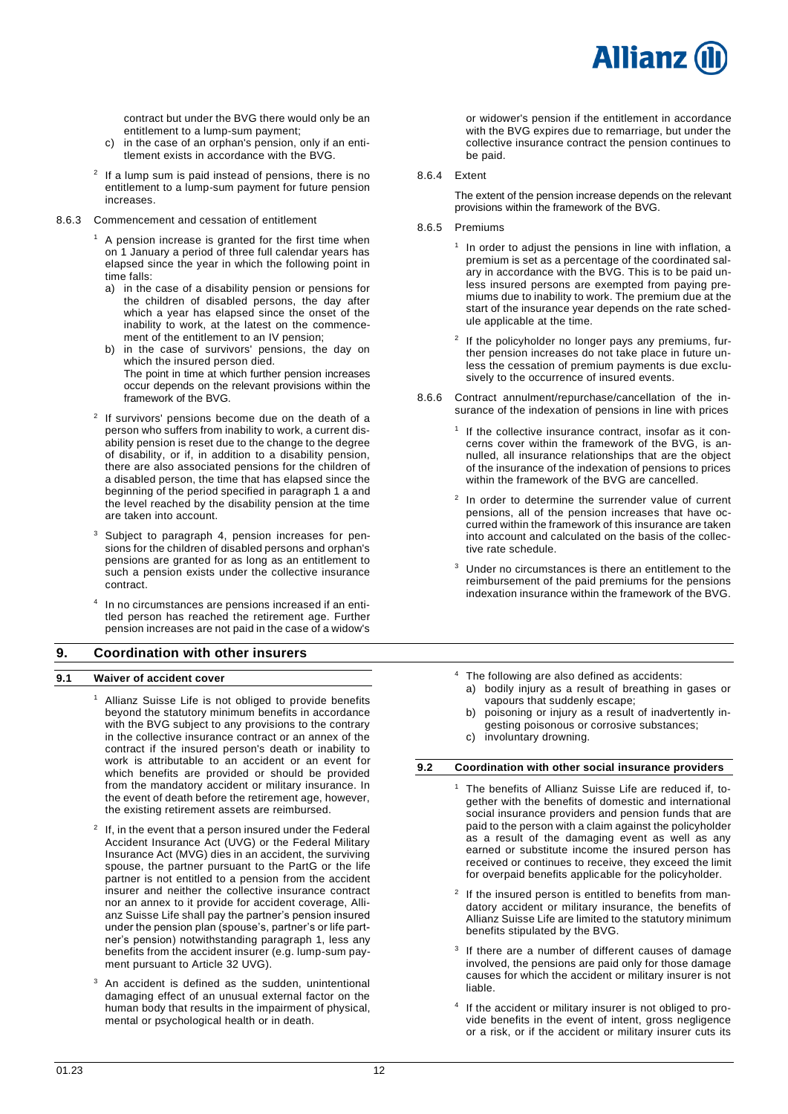

contract but under the BVG there would only be an entitlement to a lump-sum payment;

- c) in the case of an orphan's pension, only if an entitlement exists in accordance with the BVG.
- $2$  If a lump sum is paid instead of pensions, there is no entitlement to a lump-sum payment for future pension increases.
- 8.6.3 Commencement and cessation of entitlement
	- A pension increase is granted for the first time when on 1 January a period of three full calendar years has elapsed since the year in which the following point in time falls:
	- a) in the case of a disability pension or pensions for the children of disabled persons, the day after which a year has elapsed since the onset of the inability to work, at the latest on the commencement of the entitlement to an IV pension;
	- in the case of survivors' pensions, the day on which the insured person died. The point in time at which further pension increases occur depends on the relevant provisions within the framework of the BVG.
	- <sup>2</sup> If survivors' pensions become due on the death of a person who suffers from inability to work, a current disability pension is reset due to the change to the degree of disability, or if, in addition to a disability pension, there are also associated pensions for the children of a disabled person, the time that has elapsed since the beginning of the period specified in paragraph 1 a and the level reached by the disability pension at the time are taken into account.
	- Subiect to paragraph 4, pension increases for pensions for the children of disabled persons and orphan's pensions are granted for as long as an entitlement to such a pension exists under the collective insurance contract.
	- 4 In no circumstances are pensions increased if an entitled person has reached the retirement age. Further pension increases are not paid in the case of a widow's

# <span id="page-11-0"></span>**9. Coordination with other insurers**

#### <span id="page-11-1"></span>**9.1 Waiver of accident cover**

- Allianz Suisse Life is not obliged to provide benefits beyond the statutory minimum benefits in accordance with the BVG subject to any provisions to the contrary in the collective insurance contract or an annex of the contract if the insured person's death or inability to work is attributable to an accident or an event for which benefits are provided or should be provided from the mandatory accident or military insurance. In the event of death before the retirement age, however, the existing retirement assets are reimbursed.
- $2$  If, in the event that a person insured under the Federal Accident Insurance Act (UVG) or the Federal Military Insurance Act (MVG) dies in an accident, the surviving spouse, the partner pursuant to the PartG or the life partner is not entitled to a pension from the accident insurer and neither the collective insurance contract nor an annex to it provide for accident coverage, Allianz Suisse Life shall pay the partner's pension insured under the pension plan (spouse's, partner's or life partner's pension) notwithstanding paragraph 1, less any benefits from the accident insurer (e.g. lump-sum payment pursuant to Article 32 UVG).
- <sup>3</sup> An accident is defined as the sudden, unintentional damaging effect of an unusual external factor on the human body that results in the impairment of physical, mental or psychological health or in death.

or widower's pension if the entitlement in accordance with the BVG expires due to remarriage, but under the collective insurance contract the pension continues to be paid.

#### 8.6.4 Extent

The extent of the pension increase depends on the relevant provisions within the framework of the BVG.

- 8.6.5 Premiums
	- <sup>1</sup> In order to adjust the pensions in line with inflation, a premium is set as a percentage of the coordinated salary in accordance with the BVG. This is to be paid unless insured persons are exempted from paying premiums due to inability to work. The premium due at the start of the insurance year depends on the rate schedule applicable at the time.
	- <sup>2</sup> If the policyholder no longer pays any premiums, further pension increases do not take place in future unless the cessation of premium payments is due exclusively to the occurrence of insured events.
- 8.6.6 Contract annulment/repurchase/cancellation of the insurance of the indexation of pensions in line with prices
	- 1 If the collective insurance contract, insofar as it concerns cover within the framework of the BVG, is annulled, all insurance relationships that are the object of the insurance of the indexation of pensions to prices within the framework of the BVG are cancelled.
	- 2 In order to determine the surrender value of current pensions, all of the pension increases that have occurred within the framework of this insurance are taken into account and calculated on the basis of the collective rate schedule.
	- <sup>3</sup> Under no circumstances is there an entitlement to the reimbursement of the paid premiums for the pensions indexation insurance within the framework of the BVG.
	- <sup>4</sup> The following are also defined as accidents:
		- a) bodily injury as a result of breathing in gases or vapours that suddenly escape;
		- b) poisoning or injury as a result of inadvertently ingesting poisonous or corrosive substances;
		- c) involuntary drowning.

# <span id="page-11-2"></span>**9.2 Coordination with other social insurance providers**

- The benefits of Allianz Suisse Life are reduced if, together with the benefits of domestic and international social insurance providers and pension funds that are paid to the person with a claim against the policyholder as a result of the damaging event as well as any earned or substitute income the insured person has received or continues to receive, they exceed the limit for overpaid benefits applicable for the policyholder.
- 2 If the insured person is entitled to benefits from mandatory accident or military insurance, the benefits of Allianz Suisse Life are limited to the statutory minimum benefits stipulated by the BVG.
- 3 If there are a number of different causes of damage involved, the pensions are paid only for those damage causes for which the accident or military insurer is not liable.
- 4 If the accident or military insurer is not obliged to provide benefits in the event of intent, gross negligence or a risk, or if the accident or military insurer cuts its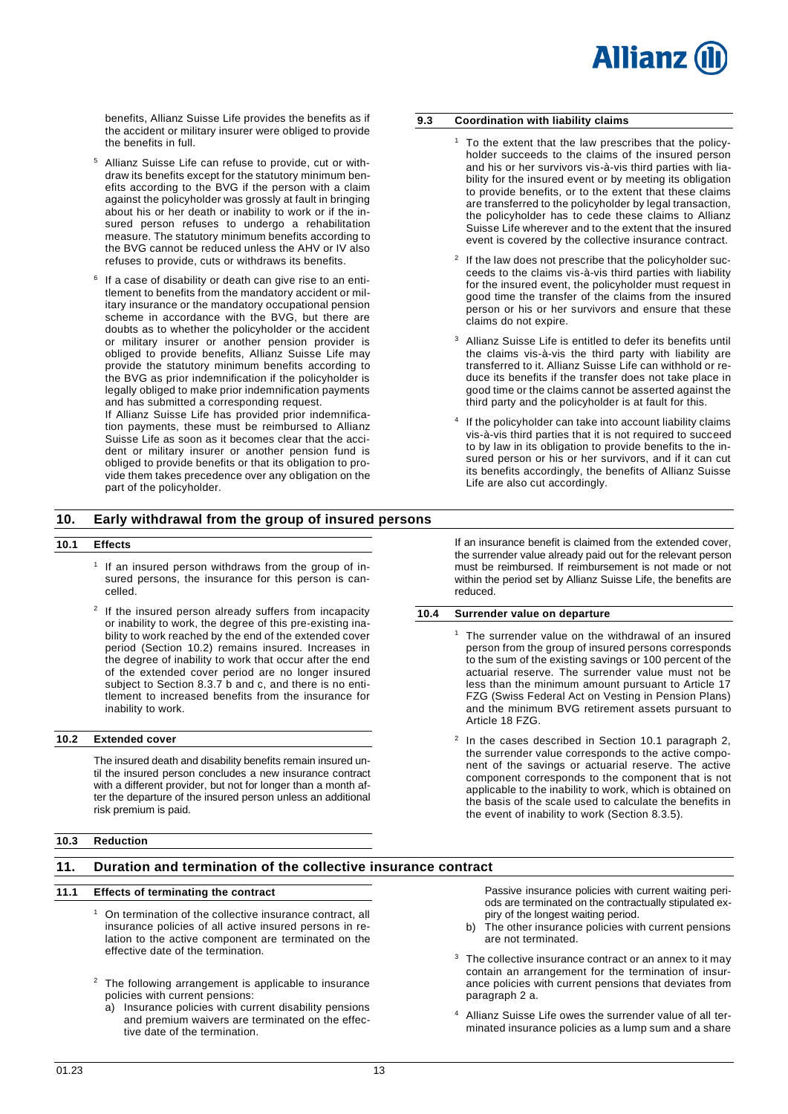benefits, Allianz Suisse Life provides the benefits as if the accident or military insurer were obliged to provide the benefits in full.

- <sup>5</sup> Allianz Suisse Life can refuse to provide, cut or withdraw its benefits except for the statutory minimum benefits according to the BVG if the person with a claim against the policyholder was grossly at fault in bringing about his or her death or inability to work or if the insured person refuses to undergo a rehabilitation measure. The statutory minimum benefits according to the BVG cannot be reduced unless the AHV or IV also refuses to provide, cuts or withdraws its benefits.
- 6 If a case of disability or death can give rise to an entitlement to benefits from the mandatory accident or military insurance or the mandatory occupational pension scheme in accordance with the BVG, but there are doubts as to whether the policyholder or the accident or military insurer or another pension provider is obliged to provide benefits, Allianz Suisse Life may provide the statutory minimum benefits according to the BVG as prior indemnification if the policyholder is legally obliged to make prior indemnification payments and has submitted a corresponding request.

If Allianz Suisse Life has provided prior indemnification payments, these must be reimbursed to Allianz Suisse Life as soon as it becomes clear that the accident or military insurer or another pension fund is obliged to provide benefits or that its obligation to provide them takes precedence over any obligation on the part of the policyholder.

# <span id="page-12-0"></span>**9.3 Coordination with liability claims**

- To the extent that the law prescribes that the policyholder succeeds to the claims of the insured person and his or her survivors vis-à-vis third parties with liability for the insured event or by meeting its obligation to provide benefits, or to the extent that these claims are transferred to the policyholder by legal transaction, the policyholder has to cede these claims to Allianz Suisse Life wherever and to the extent that the insured event is covered by the collective insurance contract.
- 2 If the law does not prescribe that the policyholder succeeds to the claims vis-à-vis third parties with liability for the insured event, the policyholder must request in good time the transfer of the claims from the insured person or his or her survivors and ensure that these claims do not expire.
- Allianz Suisse Life is entitled to defer its benefits until the claims vis-à-vis the third party with liability are transferred to it. Allianz Suisse Life can withhold or reduce its benefits if the transfer does not take place in good time or the claims cannot be asserted against the third party and the policyholder is at fault for this.
- 4 If the policyholder can take into account liability claims vis-à-vis third parties that it is not required to succeed to by law in its obligation to provide benefits to the insured person or his or her survivors, and if it can cut its benefits accordingly, the benefits of Allianz Suisse Life are also cut accordingly.

# <span id="page-12-1"></span>**10. Early withdrawal from the group of insured persons**

### <span id="page-12-2"></span>**10.1 Effects**

- 1 If an insured person withdraws from the group of insured persons, the insurance for this person is cancelled.
- 2 If the insured person already suffers from incapacity or inability to work, the degree of this pre-existing inability to work reached by the end of the extended cover period (Section 10.2) remains insured. Increases in the degree of inability to work that occur after the end of the extended cover period are no longer insured subject to Section 8.3.7 b and c, and there is no entitlement to increased benefits from the insurance for inability to work.

# <span id="page-12-3"></span>**10.2 Extended cover**

The insured death and disability benefits remain insured until the insured person concludes a new insurance contract with a different provider, but not for longer than a month after the departure of the insured person unless an additional risk premium is paid.

If an insurance benefit is claimed from the extended cover, the surrender value already paid out for the relevant person must be reimbursed. If reimbursement is not made or not within the period set by Allianz Suisse Life, the benefits are reduced.

# <span id="page-12-5"></span>**10.4 Surrender value on departure**

- <sup>1</sup> The surrender value on the withdrawal of an insured person from the group of insured persons corresponds to the sum of the existing savings or 100 percent of the actuarial reserve. The surrender value must not be less than the minimum amount pursuant to Article 17 FZG (Swiss Federal Act on Vesting in Pension Plans) and the minimum BVG retirement assets pursuant to Article 18 FZG.
- <sup>2</sup> In the cases described in Section 10.1 paragraph 2, the surrender value corresponds to the active component of the savings or actuarial reserve. The active component corresponds to the component that is not applicable to the inability to work, which is obtained on the basis of the scale used to calculate the benefits in the event of inability to work (Section 8.3.5).

# <span id="page-12-4"></span>**10.3 Reduction**

# <span id="page-12-6"></span>**11. Duration and termination of the collective insurance contract**

#### <span id="page-12-7"></span>**11.1 Effects of terminating the contract**

- <sup>1</sup> On termination of the collective insurance contract, all insurance policies of all active insured persons in relation to the active component are terminated on the effective date of the termination.
- <sup>2</sup> The following arrangement is applicable to insurance policies with current pensions:
	- a) Insurance policies with current disability pensions and premium waivers are terminated on the effective date of the termination.

Passive insurance policies with current waiting periods are terminated on the contractually stipulated expiry of the longest waiting period.

- b) The other insurance policies with current pensions are not terminated.
- <sup>3</sup> The collective insurance contract or an annex to it may contain an arrangement for the termination of insurance policies with current pensions that deviates from paragraph 2 a.
- <sup>4</sup> Allianz Suisse Life owes the surrender value of all terminated insurance policies as a lump sum and a share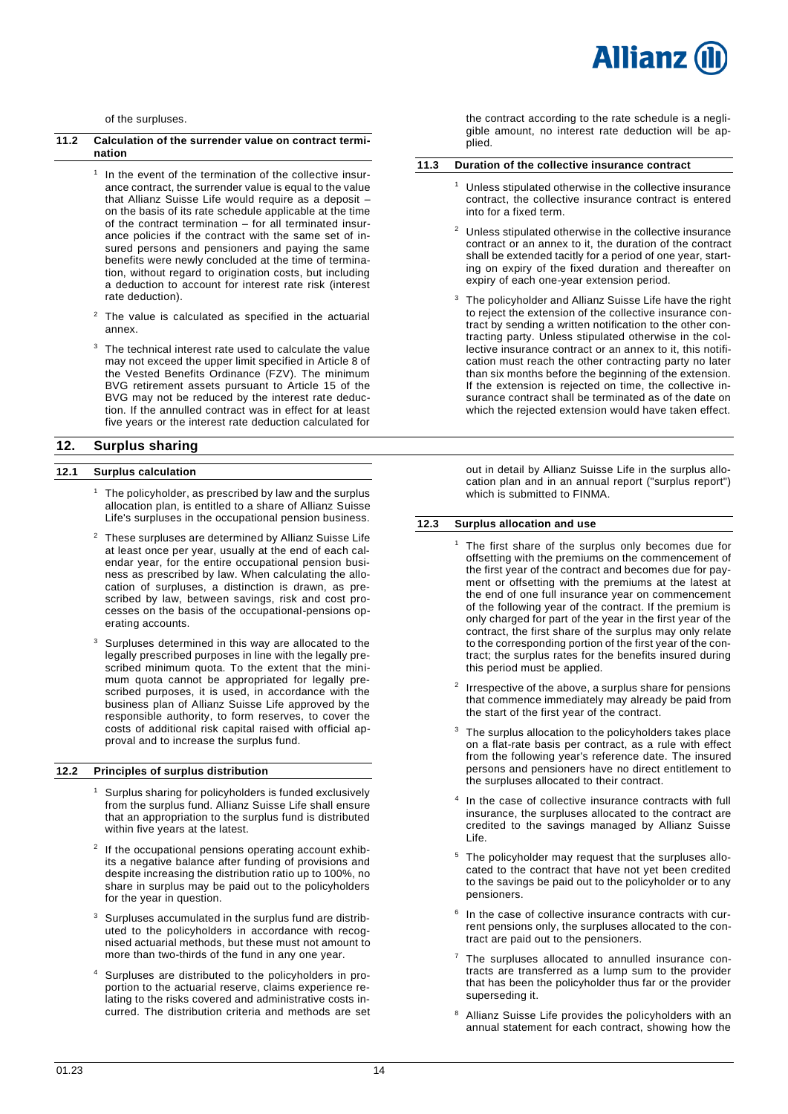

of the surpluses.

#### <span id="page-13-0"></span>**11.2 Calculation of the surrender value on contract termination**

- <sup>1</sup> In the event of the termination of the collective insurance contract, the surrender value is equal to the value that Allianz Suisse Life would require as a deposit – on the basis of its rate schedule applicable at the time of the contract termination – for all terminated insurance policies if the contract with the same set of insured persons and pensioners and paying the same benefits were newly concluded at the time of termination, without regard to origination costs, but including a deduction to account for interest rate risk (interest rate deduction).
- <sup>2</sup> The value is calculated as specified in the actuarial annex.
- The technical interest rate used to calculate the value may not exceed the upper limit specified in Article 8 of the Vested Benefits Ordinance (FZV). The minimum BVG retirement assets pursuant to Article 15 of the BVG may not be reduced by the interest rate deduction. If the annulled contract was in effect for at least five years or the interest rate deduction calculated for

# <span id="page-13-2"></span>**12. Surplus sharing**

# <span id="page-13-3"></span>**12.1 Surplus calculation**

- $1$  The policyholder, as prescribed by law and the surplus allocation plan, is entitled to a share of Allianz Suisse Life's surpluses in the occupational pension business.
- <sup>2</sup> These surpluses are determined by Allianz Suisse Life at least once per year, usually at the end of each calendar year, for the entire occupational pension business as prescribed by law. When calculating the allocation of surpluses, a distinction is drawn, as prescribed by law, between savings, risk and cost processes on the basis of the occupational-pensions operating accounts.
- Surpluses determined in this way are allocated to the legally prescribed purposes in line with the legally prescribed minimum quota. To the extent that the minimum quota cannot be appropriated for legally prescribed purposes, it is used, in accordance with the business plan of Allianz Suisse Life approved by the responsible authority, to form reserves, to cover the costs of additional risk capital raised with official approval and to increase the surplus fund.

#### <span id="page-13-4"></span>**12.2 Principles of surplus distribution**

- <sup>1</sup> Surplus sharing for policyholders is funded exclusively from the surplus fund. Allianz Suisse Life shall ensure that an appropriation to the surplus fund is distributed within five years at the latest.
- 2 If the occupational pensions operating account exhibits a negative balance after funding of provisions and despite increasing the distribution ratio up to 100%, no share in surplus may be paid out to the policyholders for the year in question.
- Surpluses accumulated in the surplus fund are distributed to the policyholders in accordance with recognised actuarial methods, but these must not amount to more than two-thirds of the fund in any one year.
- <sup>4</sup> Surpluses are distributed to the policyholders in proportion to the actuarial reserve, claims experience relating to the risks covered and administrative costs incurred. The distribution criteria and methods are set

the contract according to the rate schedule is a negligible amount, no interest rate deduction will be applied.

#### <span id="page-13-1"></span>**11.3 Duration of the collective insurance contract**

- Unless stipulated otherwise in the collective insurance contract, the collective insurance contract is entered into for a fixed term.
- <sup>2</sup> Unless stipulated otherwise in the collective insurance contract or an annex to it, the duration of the contract shall be extended tacitly for a period of one year, starting on expiry of the fixed duration and thereafter on expiry of each one-year extension period.
- <sup>3</sup> The policyholder and Allianz Suisse Life have the right to reject the extension of the collective insurance contract by sending a written notification to the other contracting party. Unless stipulated otherwise in the collective insurance contract or an annex to it, this notification must reach the other contracting party no later than six months before the beginning of the extension. If the extension is rejected on time, the collective insurance contract shall be terminated as of the date on which the rejected extension would have taken effect.

out in detail by Allianz Suisse Life in the surplus allocation plan and in an annual report ("surplus report") which is submitted to FINMA.

### <span id="page-13-5"></span>**12.3 Surplus allocation and use**

- <sup>1</sup> The first share of the surplus only becomes due for offsetting with the premiums on the commencement of the first year of the contract and becomes due for payment or offsetting with the premiums at the latest at the end of one full insurance year on commencement of the following year of the contract. If the premium is only charged for part of the year in the first year of the contract, the first share of the surplus may only relate to the corresponding portion of the first year of the contract; the surplus rates for the benefits insured during this period must be applied.
- 2 Irrespective of the above, a surplus share for pensions that commence immediately may already be paid from the start of the first year of the contract.
- $3$  The surplus allocation to the policyholders takes place on a flat-rate basis per contract, as a rule with effect from the following year's reference date. The insured persons and pensioners have no direct entitlement to the surpluses allocated to their contract.
- 4 In the case of collective insurance contracts with full insurance, the surpluses allocated to the contract are credited to the savings managed by Allianz Suisse Life.
- <sup>5</sup> The policyholder may request that the surpluses allocated to the contract that have not yet been credited to the savings be paid out to the policyholder or to any pensioners.
- 6 In the case of collective insurance contracts with current pensions only, the surpluses allocated to the contract are paid out to the pensioners.
- The surpluses allocated to annulled insurance contracts are transferred as a lump sum to the provider that has been the policyholder thus far or the provider superseding it.
- Allianz Suisse Life provides the policyholders with an annual statement for each contract, showing how the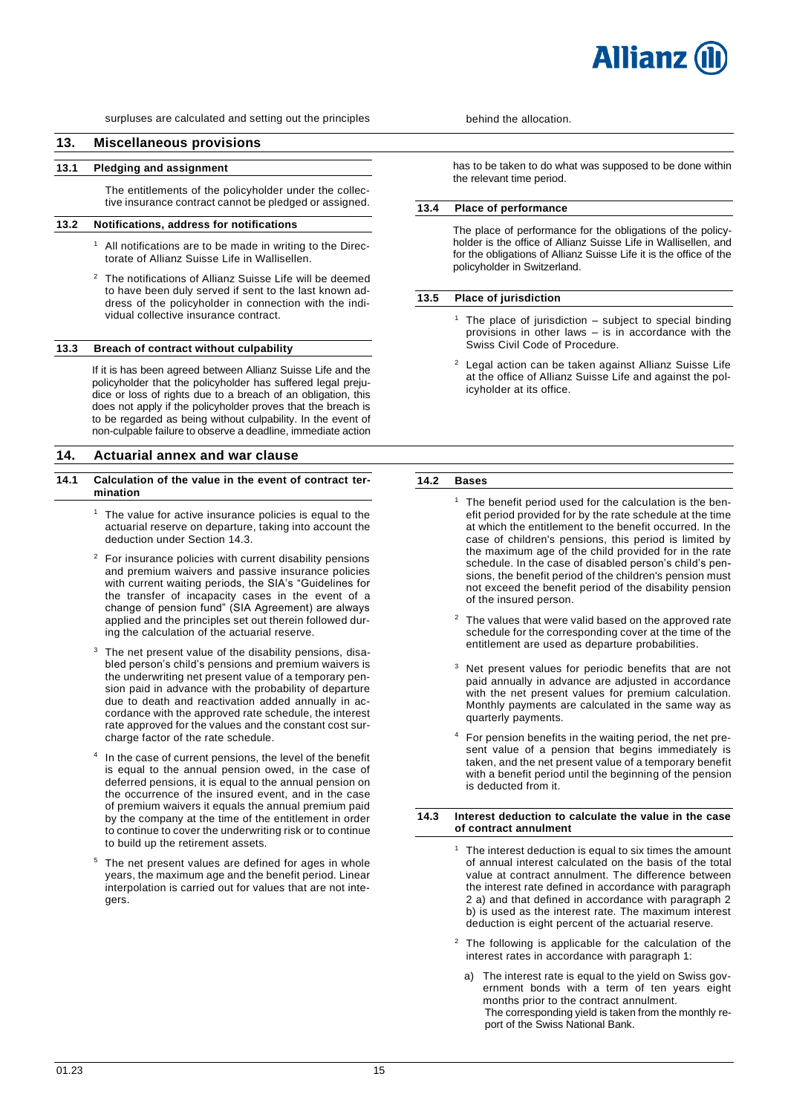# <span id="page-14-0"></span>**13. Miscellaneous provisions**

#### <span id="page-14-1"></span>**13.1 Pledging and assignment**

The entitlements of the policyholder under the collective insurance contract cannot be pledged or assigned.

# <span id="page-14-2"></span>**13.2 Notifications, address for notifications**

- $1$  All notifications are to be made in writing to the Directorate of Allianz Suisse Life in Wallisellen.
- <sup>2</sup> The notifications of Allianz Suisse Life will be deemed to have been duly served if sent to the last known address of the policyholder in connection with the individual collective insurance contract.

#### <span id="page-14-3"></span>**13.3 Breach of contract without culpability**

If it is has been agreed between Allianz Suisse Life and the policyholder that the policyholder has suffered legal prejudice or loss of rights due to a breach of an obligation, this does not apply if the policyholder proves that the breach is to be regarded as being without culpability. In the event of non-culpable failure to observe a deadline, immediate action

# <span id="page-14-6"></span>**14. Actuarial annex and war clause**

- <span id="page-14-7"></span>**14.1 Calculation of the value in the event of contract termination** 
	- $1$  The value for active insurance policies is equal to the actuarial reserve on departure, taking into account the deduction under Section 14.3.
	- <sup>2</sup> For insurance policies with current disability pensions and premium waivers and passive insurance policies with current waiting periods, the SIA's "Guidelines for the transfer of incapacity cases in the event of a change of pension fund" (SIA Agreement) are always applied and the principles set out therein followed during the calculation of the actuarial reserve.
	- The net present value of the disability pensions, disabled person's child's pensions and premium waivers is the underwriting net present value of a temporary pension paid in advance with the probability of departure due to death and reactivation added annually in accordance with the approved rate schedule, the interest rate approved for the values and the constant cost surcharge factor of the rate schedule.
	- 4 In the case of current pensions, the level of the benefit is equal to the annual pension owed, in the case of deferred pensions, it is equal to the annual pension on the occurrence of the insured event, and in the case of premium waivers it equals the annual premium paid by the company at the time of the entitlement in order to continue to cover the underwriting risk or to continue to build up the retirement assets.
	- <sup>5</sup> The net present values are defined for ages in whole years, the maximum age and the benefit period. Linear interpolation is carried out for values that are not integers.

has to be taken to do what was supposed to be done within the relevant time period.

# <span id="page-14-4"></span>**13.4 Place of performance**

The place of performance for the obligations of the policyholder is the office of Allianz Suisse Life in Wallisellen, and for the obligations of Allianz Suisse Life it is the office of the policyholder in Switzerland.

#### <span id="page-14-5"></span>**13.5 Place of jurisdiction**

- <sup>1</sup> The place of jurisdiction  $-$  subject to special binding provisions in other laws – is in accordance with the Swiss Civil Code of Procedure.
- Legal action can be taken against Allianz Suisse Life at the office of Allianz Suisse Life and against the policyholder at its office.

#### <span id="page-14-8"></span>**14.2 Bases**

- The benefit period used for the calculation is the benefit period provided for by the rate schedule at the time at which the entitlement to the benefit occurred. In the case of children's pensions, this period is limited by the maximum age of the child provided for in the rate schedule. In the case of disabled person's child's pensions, the benefit period of the children's pension must not exceed the benefit period of the disability pension of the insured person.
- $2$  The values that were valid based on the approved rate schedule for the corresponding cover at the time of the entitlement are used as departure probabilities.
- Net present values for periodic benefits that are not paid annually in advance are adjusted in accordance with the net present values for premium calculation. Monthly payments are calculated in the same way as quarterly payments.
- <sup>4</sup> For pension benefits in the waiting period, the net present value of a pension that begins immediately is taken, and the net present value of a temporary benefit with a benefit period until the beginning of the pension is deducted from it.

#### <span id="page-14-9"></span>**14.3 Interest deduction to calculate the value in the case of contract annulment**

- The interest deduction is equal to six times the amount of annual interest calculated on the basis of the total value at contract annulment. The difference between the interest rate defined in accordance with paragraph 2 a) and that defined in accordance with paragraph 2 b) is used as the interest rate. The maximum interest deduction is eight percent of the actuarial reserve.
- The following is applicable for the calculation of the interest rates in accordance with paragraph 1:
- a) The interest rate is equal to the yield on Swiss government bonds with a term of ten years eight months prior to the contract annulment. The corresponding yield is taken from the monthly report of the Swiss National Bank.